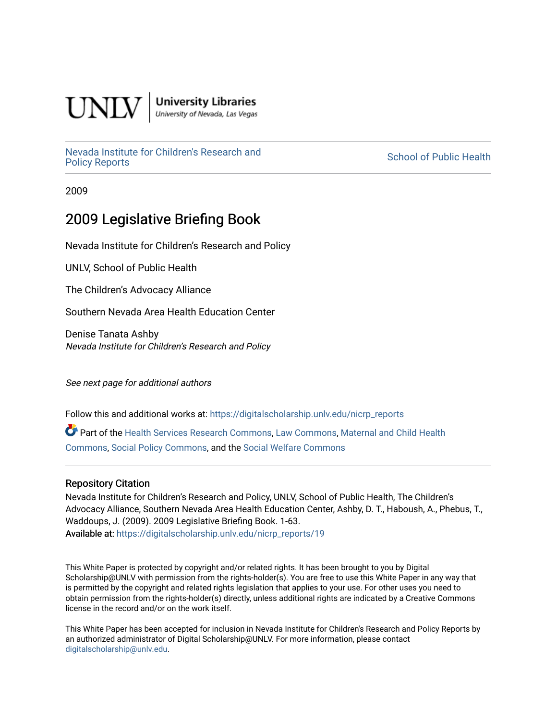

**University Libraries**<br>University of Nevada, Las Vegas

[Nevada Institute for Children's Research and](https://digitalscholarship.unlv.edu/nicrp_reports)

**School of Public Health** 

2009

### 2009 Legislative Briefing Book

Nevada Institute for Children's Research and Policy

UNLV, School of Public Health

The Children's Advocacy Alliance

Southern Nevada Area Health Education Center

Denise Tanata Ashby Nevada Institute for Children's Research and Policy

See next page for additional authors

Follow this and additional works at: [https://digitalscholarship.unlv.edu/nicrp\\_reports](https://digitalscholarship.unlv.edu/nicrp_reports?utm_source=digitalscholarship.unlv.edu%2Fnicrp_reports%2F19&utm_medium=PDF&utm_campaign=PDFCoverPages)

Part of the [Health Services Research Commons,](http://network.bepress.com/hgg/discipline/816?utm_source=digitalscholarship.unlv.edu%2Fnicrp_reports%2F19&utm_medium=PDF&utm_campaign=PDFCoverPages) [Law Commons](http://network.bepress.com/hgg/discipline/578?utm_source=digitalscholarship.unlv.edu%2Fnicrp_reports%2F19&utm_medium=PDF&utm_campaign=PDFCoverPages), [Maternal and Child Health](http://network.bepress.com/hgg/discipline/745?utm_source=digitalscholarship.unlv.edu%2Fnicrp_reports%2F19&utm_medium=PDF&utm_campaign=PDFCoverPages)  [Commons](http://network.bepress.com/hgg/discipline/745?utm_source=digitalscholarship.unlv.edu%2Fnicrp_reports%2F19&utm_medium=PDF&utm_campaign=PDFCoverPages), [Social Policy Commons,](http://network.bepress.com/hgg/discipline/1030?utm_source=digitalscholarship.unlv.edu%2Fnicrp_reports%2F19&utm_medium=PDF&utm_campaign=PDFCoverPages) and the [Social Welfare Commons](http://network.bepress.com/hgg/discipline/401?utm_source=digitalscholarship.unlv.edu%2Fnicrp_reports%2F19&utm_medium=PDF&utm_campaign=PDFCoverPages) 

#### Repository Citation

Nevada Institute for Children's Research and Policy, UNLV, School of Public Health, The Children's Advocacy Alliance, Southern Nevada Area Health Education Center, Ashby, D. T., Haboush, A., Phebus, T., Waddoups, J. (2009). 2009 Legislative Briefing Book. 1-63. Available at: [https://digitalscholarship.unlv.edu/nicrp\\_reports/19](https://digitalscholarship.unlv.edu/nicrp_reports/19) 

This White Paper is protected by copyright and/or related rights. It has been brought to you by Digital Scholarship@UNLV with permission from the rights-holder(s). You are free to use this White Paper in any way that is permitted by the copyright and related rights legislation that applies to your use. For other uses you need to obtain permission from the rights-holder(s) directly, unless additional rights are indicated by a Creative Commons license in the record and/or on the work itself.

This White Paper has been accepted for inclusion in Nevada Institute for Children's Research and Policy Reports by an authorized administrator of Digital Scholarship@UNLV. For more information, please contact [digitalscholarship@unlv.edu](mailto:digitalscholarship@unlv.edu).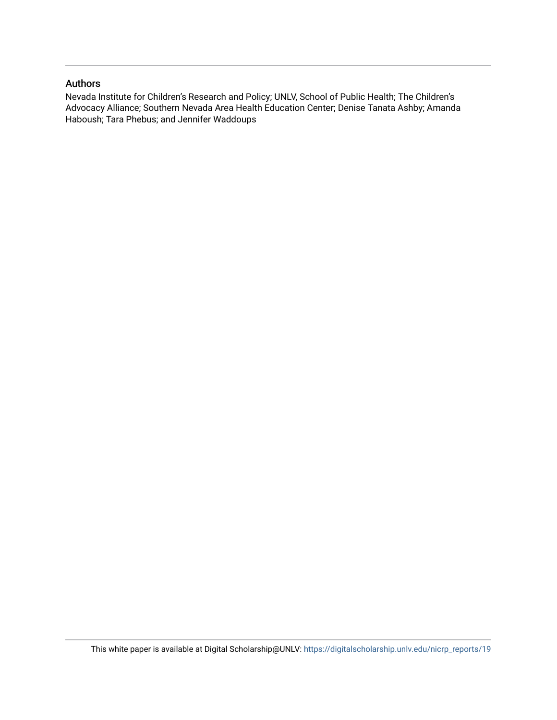#### Authors

Nevada Institute for Children's Research and Policy; UNLV, School of Public Health; The Children's Advocacy Alliance; Southern Nevada Area Health Education Center; Denise Tanata Ashby; Amanda Haboush; Tara Phebus; and Jennifer Waddoups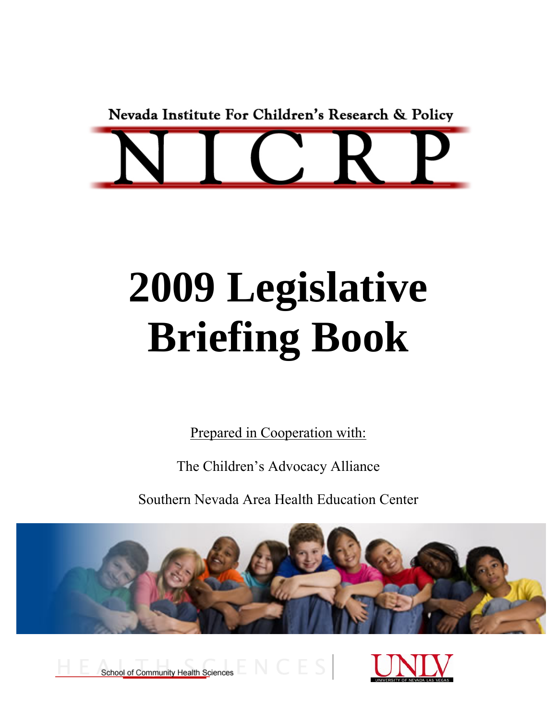Nevada Institute For Children's Research & Policy



## **2009 Legislative Briefing Book**

Prepared in Cooperation with:

The Children's Advocacy Alliance

Southern Nevada Area Health Education Center



School of Community Health Sciences

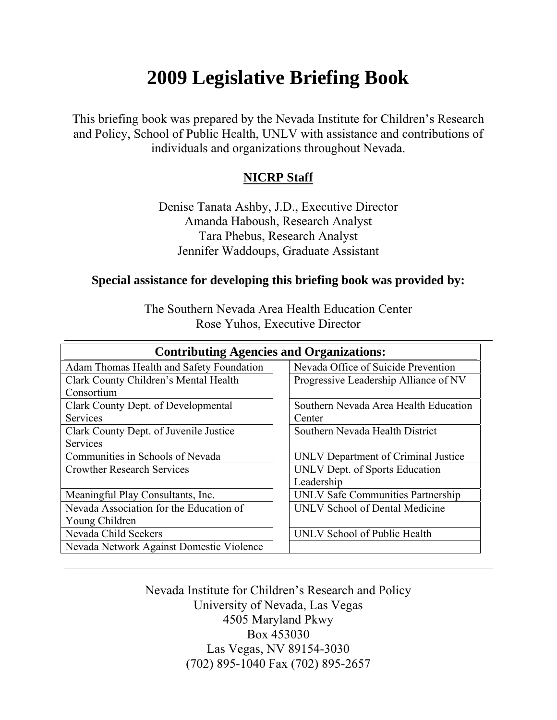### **2009 Legislative Briefing Book**

This briefing book was prepared by the Nevada Institute for Children's Research and Policy, School of Public Health, UNLV with assistance and contributions of individuals and organizations throughout Nevada.

#### **NICRP Staff**

Denise Tanata Ashby, J.D., Executive Director Amanda Haboush, Research Analyst Tara Phebus, Research Analyst Jennifer Waddoups, Graduate Assistant

#### **Special assistance for developing this briefing book was provided by:**

The Southern Nevada Area Health Education Center Rose Yuhos, Executive Director

| <b>Contributing Agencies and Organizations:</b> |                                       |  |  |
|-------------------------------------------------|---------------------------------------|--|--|
| Adam Thomas Health and Safety Foundation        | Nevada Office of Suicide Prevention   |  |  |
| Clark County Children's Mental Health           | Progressive Leadership Alliance of NV |  |  |
| Consortium                                      |                                       |  |  |
| Clark County Dept. of Developmental             | Southern Nevada Area Health Education |  |  |
| <b>Services</b>                                 | Center                                |  |  |
| Clark County Dept. of Juvenile Justice          | Southern Nevada Health District       |  |  |
| <b>Services</b>                                 |                                       |  |  |
| Communities in Schools of Nevada                | UNLV Department of Criminal Justice   |  |  |
| <b>Crowther Research Services</b>               | UNLV Dept. of Sports Education        |  |  |
|                                                 | Leadership                            |  |  |
| Meaningful Play Consultants, Inc.               | UNLV Safe Communities Partnership     |  |  |
| Nevada Association for the Education of         | UNLV School of Dental Medicine        |  |  |
| Young Children                                  |                                       |  |  |
| Nevada Child Seekers                            | UNLV School of Public Health          |  |  |
| Nevada Network Against Domestic Violence        |                                       |  |  |

Nevada Institute for Children's Research and Policy University of Nevada, Las Vegas 4505 Maryland Pkwy Box 453030 Las Vegas, NV 89154-3030 (702) 895-1040 Fax (702) 895-2657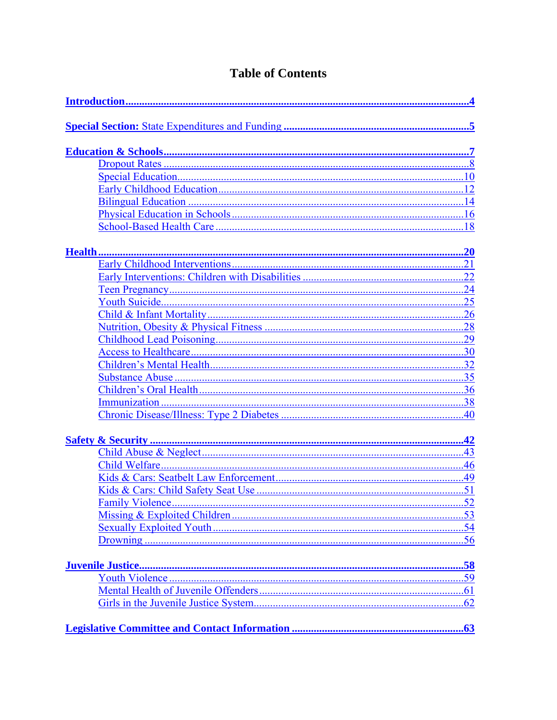#### **Table of Contents**

<span id="page-4-0"></span>

| <b>Family Violence</b> | .52 |
|------------------------|-----|
|                        |     |
|                        |     |
|                        | .56 |
|                        |     |
|                        |     |
|                        |     |
|                        |     |
|                        |     |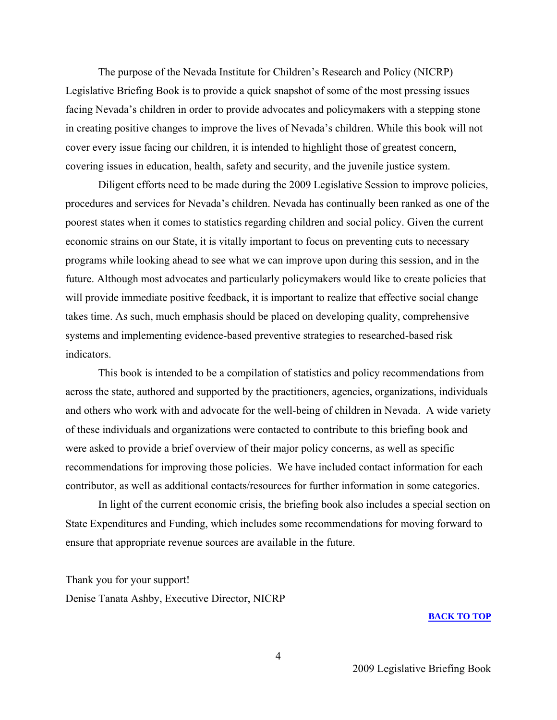<span id="page-5-0"></span>The purpose of the Nevada Institute for Children's Research and Policy (NICRP) Legislative Briefing Book is to provide a quick snapshot of some of the most pressing issues facing Nevada's children in order to provide advocates and policymakers with a stepping stone in creating positive changes to improve the lives of Nevada's children. While this book will not cover every issue facing our children, it is intended to highlight those of greatest concern, covering issues in education, health, safety and security, and the juvenile justice system.

Diligent efforts need to be made during the 2009 Legislative Session to improve policies, procedures and services for Nevada's children. Nevada has continually been ranked as one of the poorest states when it comes to statistics regarding children and social policy. Given the current economic strains on our State, it is vitally important to focus on preventing cuts to necessary programs while looking ahead to see what we can improve upon during this session, and in the future. Although most advocates and particularly policymakers would like to create policies that will provide immediate positive feedback, it is important to realize that effective social change takes time. As such, much emphasis should be placed on developing quality, comprehensive systems and implementing evidence-based preventive strategies to researched-based risk indicators.

This book is intended to be a compilation of statistics and policy recommendations from across the state, authored and supported by the practitioners, agencies, organizations, individuals and others who work with and advocate for the well-being of children in Nevada. A wide variety of these individuals and organizations were contacted to contribute to this briefing book and were asked to provide a brief overview of their major policy concerns, as well as specific recommendations for improving those policies. We have included contact information for each contributor, as well as additional contacts/resources for further information in some categories.

In light of the current economic crisis, the briefing book also includes a special section on State Expenditures and Funding, which includes some recommendations for moving forward to ensure that appropriate revenue sources are available in the future.

Thank you for your support! Denise Tanata Ashby, Executive Director, NICRP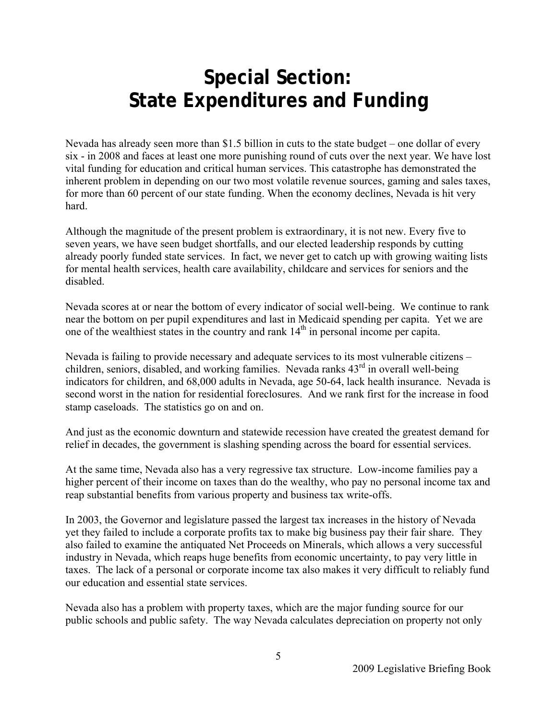### <span id="page-6-0"></span>**Special Section: State Expenditures and Funding**

Nevada has already seen more than \$1.5 billion in cuts to the state budget – one dollar of every six - in 2008 and faces at least one more punishing round of cuts over the next year. We have lost vital funding for education and critical human services. This catastrophe has demonstrated the inherent problem in depending on our two most volatile revenue sources, gaming and sales taxes, for more than 60 percent of our state funding. When the economy declines, Nevada is hit very hard.

Although the magnitude of the present problem is extraordinary, it is not new. Every five to seven years, we have seen budget shortfalls, and our elected leadership responds by cutting already poorly funded state services. In fact, we never get to catch up with growing waiting lists for mental health services, health care availability, childcare and services for seniors and the disabled.

Nevada scores at or near the bottom of every indicator of social well-being. We continue to rank near the bottom on per pupil expenditures and last in Medicaid spending per capita. Yet we are one of the wealthiest states in the country and rank  $14<sup>th</sup>$  in personal income per capita.

Nevada is failing to provide necessary and adequate services to its most vulnerable citizens – children, seniors, disabled, and working families. Nevada ranks  $43<sup>rd</sup>$  in overall well-being indicators for children, and 68,000 adults in Nevada, age 50-64, lack health insurance. Nevada is second worst in the nation for residential foreclosures. And we rank first for the increase in food stamp caseloads. The statistics go on and on.

And just as the economic downturn and statewide recession have created the greatest demand for relief in decades, the government is slashing spending across the board for essential services.

At the same time, Nevada also has a very regressive tax structure. Low-income families pay a higher percent of their income on taxes than do the wealthy, who pay no personal income tax and reap substantial benefits from various property and business tax write-offs.

In 2003, the Governor and legislature passed the largest tax increases in the history of Nevada yet they failed to include a corporate profits tax to make big business pay their fair share. They also failed to examine the antiquated Net Proceeds on Minerals, which allows a very successful industry in Nevada, which reaps huge benefits from economic uncertainty, to pay very little in taxes. The lack of a personal or corporate income tax also makes it very difficult to reliably fund our education and essential state services.

Nevada also has a problem with property taxes, which are the major funding source for our public schools and public safety. The way Nevada calculates depreciation on property not only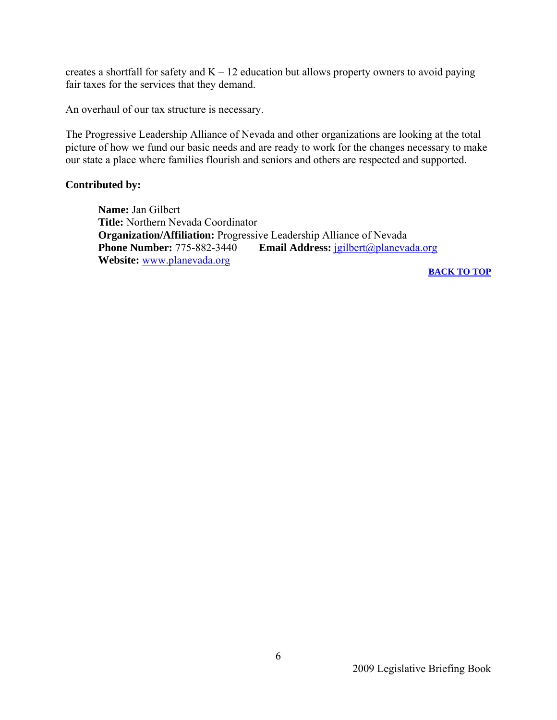creates a shortfall for safety and  $K - 12$  education but allows property owners to avoid paying fair taxes for the services that they demand.

An overhaul of our tax structure is necessary.

The Progressive Leadership Alliance of Nevada and other organizations are looking at the total picture of how we fund our basic needs and are ready to work for the changes necessary to make our state a place where families flourish and seniors and others are respected and supported.

#### **Contributed by:**

 **Name:** Jan Gilbert  **Title:** Northern Nevada Coordinator **Organization/Affiliation:** Progressive Leadership Alliance of Nevada<br> **Phone Number:** 775-882-3440 Email Address: igilbert@planeya **Email Address:** [jgilbert@planevada.org](mailto:jgilbert@planevada.org) **Website:** [www.planevada.org](http://www.planevada.org/)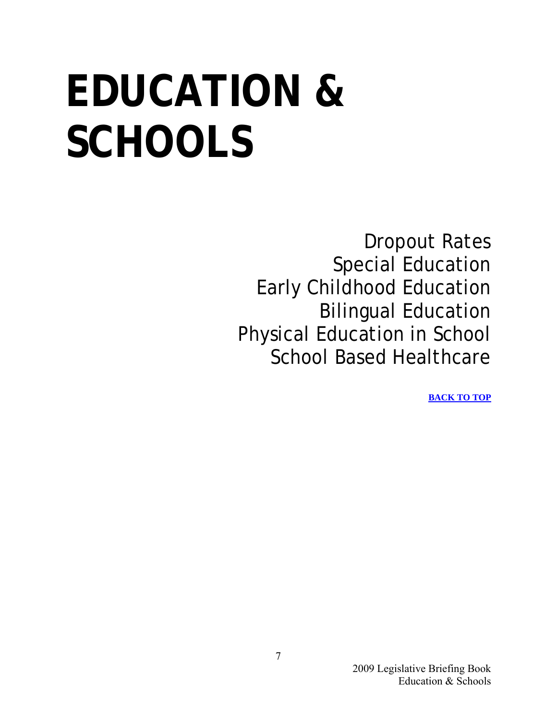## <span id="page-8-0"></span>**EDUCATION & SCHOOLS**

Dropout Rates Special Education Early Childhood Education Bilingual Education Physical Education in School School Based Healthcare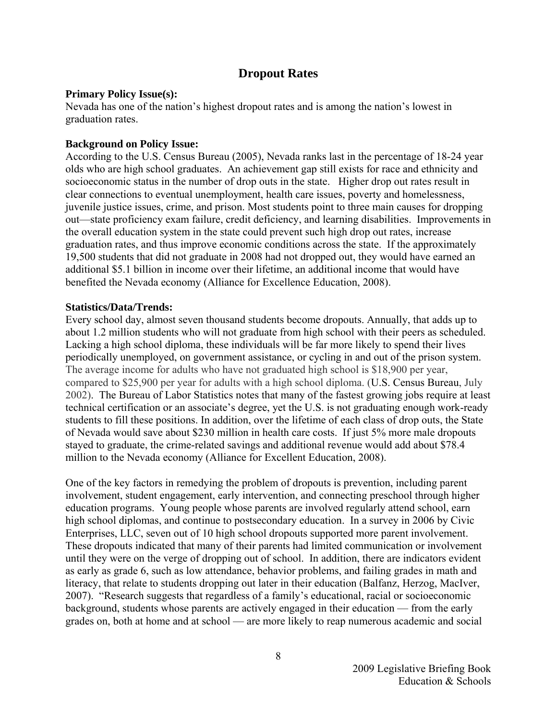#### **Dropout Rates**

#### <span id="page-9-0"></span>**Primary Policy Issue(s):**

Nevada has one of the nation's highest dropout rates and is among the nation's lowest in graduation rates.

#### **Background on Policy Issue:**

According to the U.S. Census Bureau (2005), Nevada ranks last in the percentage of 18-24 year olds who are high school graduates. An achievement gap still exists for race and ethnicity and socioeconomic status in the number of drop outs in the state. Higher drop out rates result in clear connections to eventual unemployment, health care issues, poverty and homelessness, juvenile justice issues, crime, and prison. Most students point to three main causes for dropping out—state proficiency exam failure, credit deficiency, and learning disabilities. Improvements in the overall education system in the state could prevent such high drop out rates, increase graduation rates, and thus improve economic conditions across the state. If the approximately 19,500 students that did not graduate in 2008 had not dropped out, they would have earned an additional \$5.1 billion in income over their lifetime, an additional income that would have benefited the Nevada economy (Alliance for Excellence Education, 2008).

#### **Statistics/Data/Trends:**

Every school day, almost seven thousand students become dropouts. Annually, that adds up to about 1.2 million students who will not graduate from high school with their peers as scheduled. Lacking a high school diploma, these individuals will be far more likely to spend their lives periodically unemployed, on government assistance, or cycling in and out of the prison system. The average income for adults who have not graduated high school is \$18,900 per year, compared to \$25,900 per year for adults with a high school diploma. (U.S. Census Bureau, July 2002). The Bureau of Labor Statistics notes that many of the fastest growing jobs require at least technical certification or an associate's degree, yet the U.S. is not graduating enough work-ready students to fill these positions. In addition, over the lifetime of each class of drop outs, the State of Nevada would save about \$230 million in health care costs. If just 5% more male dropouts stayed to graduate, the crime-related savings and additional revenue would add about \$78.4 million to the Nevada economy (Alliance for Excellent Education, 2008).

One of the key factors in remedying the problem of dropouts is prevention, including parent involvement, student engagement, early intervention, and connecting preschool through higher education programs. Young people whose parents are involved regularly attend school, earn high school diplomas, and continue to postsecondary education. In a survey in 2006 by Civic Enterprises, LLC, seven out of 10 high school dropouts supported more parent involvement. These dropouts indicated that many of their parents had limited communication or involvement until they were on the verge of dropping out of school. In addition, there are indicators evident as early as grade 6, such as low attendance, behavior problems, and failing grades in math and literacy, that relate to students dropping out later in their education (Balfanz, Herzog, MacIver, 2007). "Research suggests that regardless of a family's educational, racial or socioeconomic background, students whose parents are actively engaged in their education — from the early grades on, both at home and at school — are more likely to reap numerous academic and social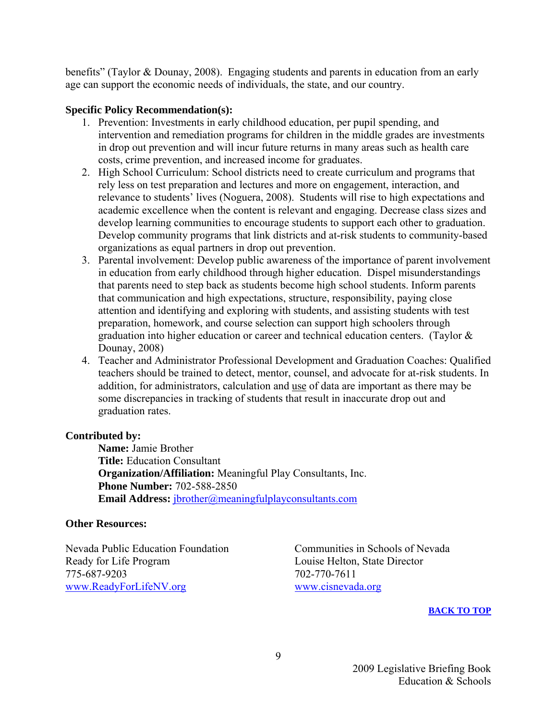benefits" (Taylor & Dounay, 2008). Engaging students and parents in education from an early age can support the economic needs of individuals, the state, and our country.

#### **Specific Policy Recommendation(s):**

- 1. Prevention: Investments in early childhood education, per pupil spending, and intervention and remediation programs for children in the middle grades are investments in drop out prevention and will incur future returns in many areas such as health care costs, crime prevention, and increased income for graduates.
- 2. High School Curriculum: School districts need to create curriculum and programs that rely less on test preparation and lectures and more on engagement, interaction, and relevance to students' lives (Noguera, 2008). Students will rise to high expectations and academic excellence when the content is relevant and engaging. Decrease class sizes and develop learning communities to encourage students to support each other to graduation. Develop community programs that link districts and at-risk students to community-based organizations as equal partners in drop out prevention.
- 3. Parental involvement: Develop public awareness of the importance of parent involvement in education from early childhood through higher education. Dispel misunderstandings that parents need to step back as students become high school students. Inform parents that communication and high expectations, structure, responsibility, paying close attention and identifying and exploring with students, and assisting students with test preparation, homework, and course selection can support high schoolers through graduation into higher education or career and technical education centers. (Taylor & Dounay, 2008)
- 4. Teacher and Administrator Professional Development and Graduation Coaches: Qualified teachers should be trained to detect, mentor, counsel, and advocate for at-risk students. In addition, for administrators, calculation and use of data are important as there may be some discrepancies in tracking of students that result in inaccurate drop out and graduation rates.

#### **Contributed by:**

 **Name:** Jamie Brother  **Title:** Education Consultant  **Organization/Affiliation:** Meaningful Play Consultants, Inc.  **Phone Number:** 702-588-2850 **Email Address:** jbrother@meaningfulplayconsultants.com

#### **Other Resources:**

Nevada Public Education Foundation Communities in Schools of Nevada Ready for Life Program Louise Helton, State Director 775-687-9203 702-770-7611 [www.ReadyForLifeNV.org](http://www.readyforlifenv.org/) [www.cisnevada.org](http://www.cisnevada.org/)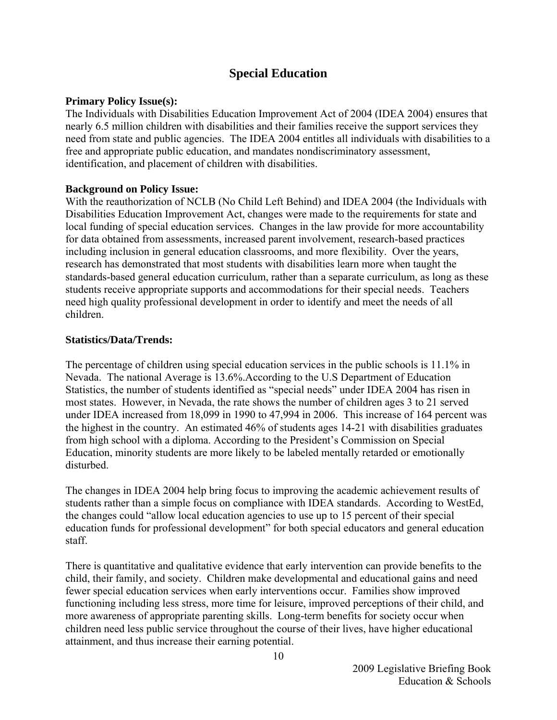#### **Special Education**

#### <span id="page-11-0"></span>**Primary Policy Issue(s):**

The Individuals with Disabilities Education Improvement Act of 2004 (IDEA 2004) ensures that nearly 6.5 million children with disabilities and their families receive the support services they need from state and public agencies. The IDEA 2004 entitles all individuals with disabilities to a free and appropriate public education, and mandates nondiscriminatory assessment, identification, and placement of children with disabilities.

#### **Background on Policy Issue:**

With the reauthorization of NCLB (No Child Left Behind) and IDEA 2004 (the Individuals with Disabilities Education Improvement Act, changes were made to the requirements for state and local funding of special education services. Changes in the law provide for more accountability for data obtained from assessments, increased parent involvement, research-based practices including inclusion in general education classrooms, and more flexibility. Over the years, research has demonstrated that most students with disabilities learn more when taught the standards-based general education curriculum, rather than a separate curriculum, as long as these students receive appropriate supports and accommodations for their special needs. Teachers need high quality professional development in order to identify and meet the needs of all children.

#### **Statistics/Data/Trends:**

The percentage of children using special education services in the public schools is 11.1% in Nevada. The national Average is 13.6%.According to the U.S Department of Education Statistics, the number of students identified as "special needs" under IDEA 2004 has risen in most states. However, in Nevada, the rate shows the number of children ages 3 to 21 served under IDEA increased from 18,099 in 1990 to 47,994 in 2006. This increase of 164 percent was the highest in the country. An estimated 46% of students ages 14-21 with disabilities graduates from high school with a diploma. According to the President's Commission on Special Education, minority students are more likely to be labeled mentally retarded or emotionally disturbed.

The changes in IDEA 2004 help bring focus to improving the academic achievement results of students rather than a simple focus on compliance with IDEA standards. According to WestEd, the changes could "allow local education agencies to use up to 15 percent of their special education funds for professional development" for both special educators and general education staff.

There is quantitative and qualitative evidence that early intervention can provide benefits to the child, their family, and society. Children make developmental and educational gains and need fewer special education services when early interventions occur. Families show improved functioning including less stress, more time for leisure, improved perceptions of their child, and more awareness of appropriate parenting skills. Long-term benefits for society occur when children need less public service throughout the course of their lives, have higher educational attainment, and thus increase their earning potential.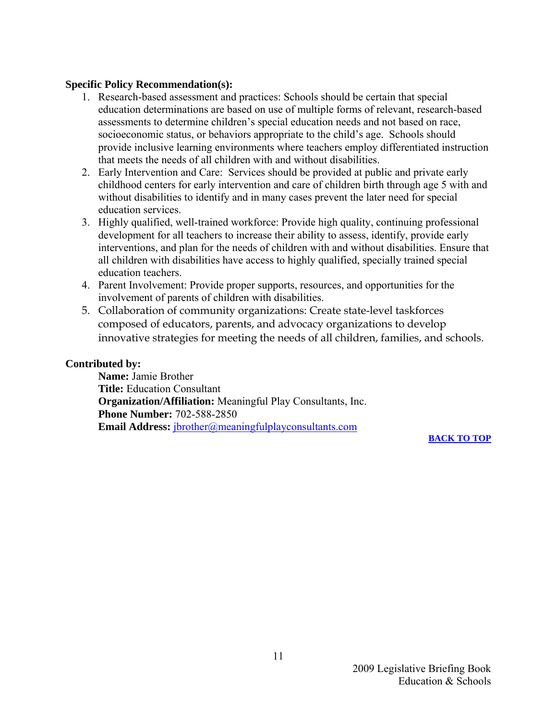#### **Specific Policy Recommendation(s):**

- 1. Research-based assessment and practices: Schools should be certain that special education determinations are based on use of multiple forms of relevant, research-based assessments to determine children's special education needs and not based on race, socioeconomic status, or behaviors appropriate to the child's age. Schools should provide inclusive learning environments where teachers employ differentiated instruction that meets the needs of all children with and without disabilities.
- 2. Early Intervention and Care: Services should be provided at public and private early childhood centers for early intervention and care of children birth through age 5 with and without disabilities to identify and in many cases prevent the later need for special education services.
- 3. Highly qualified, well-trained workforce: Provide high quality, continuing professional development for all teachers to increase their ability to assess, identify, provide early interventions, and plan for the needs of children with and without disabilities. Ensure that all children with disabilities have access to highly qualified, specially trained special education teachers.
- 4. Parent Involvement: Provide proper supports, resources, and opportunities for the involvement of parents of children with disabilities.
- 5. Collaboration of community organizations: Create state-level taskforces composed of educators, parents, and advocacy organizations to develop innovative strategies for meeting the needs of all children, families, and schools.

#### **Contributed by:**

 **Name:** Jamie Brother  **Title:** Education Consultant  **Organization/Affiliation:** Meaningful Play Consultants, Inc.  **Phone Number:** 702-588-2850 **Email Address:** [jbrother@meaningfulplayconsultants.com](mailto:jbrother@meaningfulplayconsultants.com)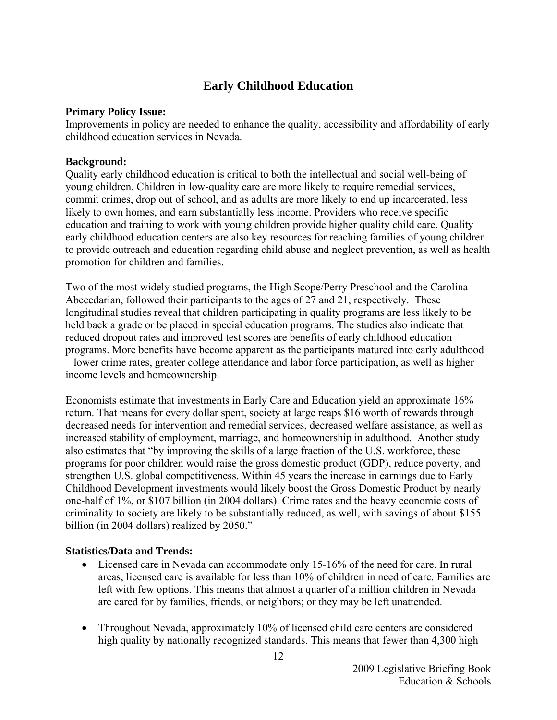#### **Early Childhood Education**

#### <span id="page-13-0"></span>**Primary Policy Issue:**

Improvements in policy are needed to enhance the quality, accessibility and affordability of early childhood education services in Nevada.

#### **Background:**

Quality early childhood education is critical to both the intellectual and social well-being of young children. Children in low-quality care are more likely to require remedial services, commit crimes, drop out of school, and as adults are more likely to end up incarcerated, less likely to own homes, and earn substantially less income. Providers who receive specific education and training to work with young children provide higher quality child care. Quality early childhood education centers are also key resources for reaching families of young children to provide outreach and education regarding child abuse and neglect prevention, as well as health promotion for children and families.

Two of the most widely studied programs, the High Scope/Perry Preschool and the Carolina Abecedarian, followed their participants to the ages of 27 and 21, respectively. These longitudinal studies reveal that children participating in quality programs are less likely to be held back a grade or be placed in special education programs. The studies also indicate that reduced dropout rates and improved test scores are benefits of early childhood education programs. More benefits have become apparent as the participants matured into early adulthood – lower crime rates, greater college attendance and labor force participation, as well as higher income levels and homeownership.

Economists estimate that investments in Early Care and Education yield an approximate 16% return. That means for every dollar spent, society at large reaps \$16 worth of rewards through decreased needs for intervention and remedial services, decreased welfare assistance, as well as increased stability of employment, marriage, and homeownership in adulthood. Another study also estimates that "by improving the skills of a large fraction of the U.S. workforce, these programs for poor children would raise the gross domestic product (GDP), reduce poverty, and strengthen U.S. global competitiveness. Within 45 years the increase in earnings due to Early Childhood Development investments would likely boost the Gross Domestic Product by nearly one-half of 1%, or \$107 billion (in 2004 dollars). Crime rates and the heavy economic costs of criminality to society are likely to be substantially reduced, as well, with savings of about \$155 billion (in 2004 dollars) realized by 2050."

#### **Statistics/Data and Trends:**

- Licensed care in Nevada can accommodate only 15-16% of the need for care. In rural areas, licensed care is available for less than 10% of children in need of care. Families are left with few options. This means that almost a quarter of a million children in Nevada are cared for by families, friends, or neighbors; or they may be left unattended.
- Throughout Nevada, approximately 10% of licensed child care centers are considered high quality by nationally recognized standards. This means that fewer than 4,300 high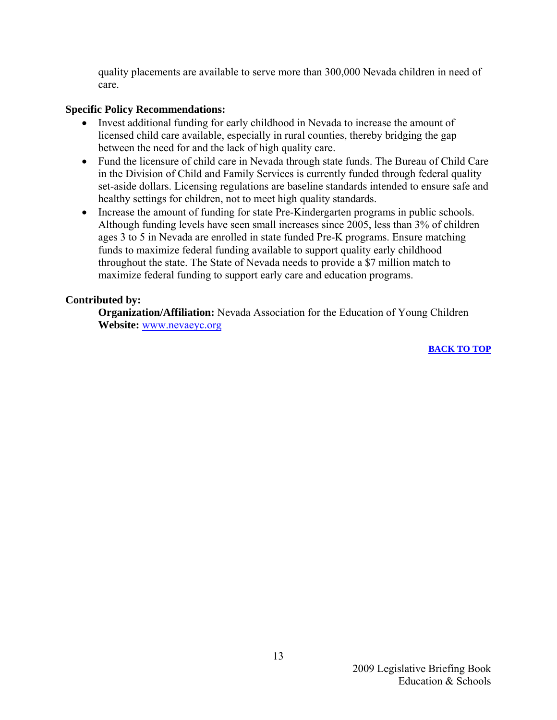quality placements are available to serve more than 300,000 Nevada children in need of care.

#### **Specific Policy Recommendations:**

- Invest additional funding for early childhood in Nevada to increase the amount of licensed child care available, especially in rural counties, thereby bridging the gap between the need for and the lack of high quality care.
- Fund the licensure of child care in Nevada through state funds. The Bureau of Child Care in the Division of Child and Family Services is currently funded through federal quality set-aside dollars. Licensing regulations are baseline standards intended to ensure safe and healthy settings for children, not to meet high quality standards.
- Increase the amount of funding for state Pre-Kindergarten programs in public schools. Although funding levels have seen small increases since 2005, less than 3% of children ages 3 to 5 in Nevada are enrolled in state funded Pre-K programs. Ensure matching funds to maximize federal funding available to support quality early childhood throughout the state. The State of Nevada needs to provide a \$7 million match to maximize federal funding to support early care and education programs.

#### **Contributed by:**

 **Organization/Affiliation:** Nevada Association for the Education of Young Children **Website:** [www.nevaeyc.org](http://www.nevaeyc.org/)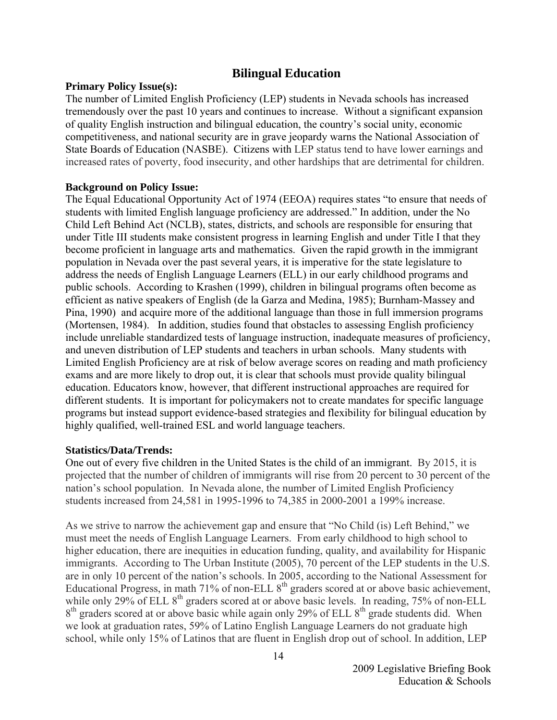#### **Bilingual Education**

#### <span id="page-15-0"></span>**Primary Policy Issue(s):**

The number of Limited English Proficiency (LEP) students in Nevada schools has increased tremendously over the past 10 years and continues to increase. Without a significant expansion of quality English instruction and bilingual education, the country's social unity, economic competitiveness, and national security are in grave jeopardy warns the National Association of State Boards of Education (NASBE). Citizens with LEP status tend to have lower earnings and increased rates of poverty, food insecurity, and other hardships that are detrimental for children.

#### **Background on Policy Issue:**

The Equal Educational Opportunity Act of 1974 (EEOA) requires states "to ensure that needs of students with limited English language proficiency are addressed." In addition, under the No Child Left Behind Act (NCLB), states, districts, and schools are responsible for ensuring that under Title III students make consistent progress in learning English and under Title I that they become proficient in language arts and mathematics. Given the rapid growth in the immigrant population in Nevada over the past several years, it is imperative for the state legislature to address the needs of English Language Learners (ELL) in our early childhood programs and public schools. According to Krashen (1999), children in bilingual programs often become as efficient as native speakers of English (de la Garza and Medina, 1985); Burnham-Massey and Pina, 1990) and acquire more of the additional language than those in full immersion programs (Mortensen, 1984). In addition, studies found that obstacles to assessing English proficiency include unreliable standardized tests of language instruction, inadequate measures of proficiency, and uneven distribution of LEP students and teachers in urban schools. Many students with Limited English Proficiency are at risk of below average scores on reading and math proficiency exams and are more likely to drop out, it is clear that schools must provide quality bilingual education. Educators know, however, that different instructional approaches are required for different students. It is important for policymakers not to create mandates for specific language programs but instead support evidence-based strategies and flexibility for bilingual education by highly qualified, well-trained ESL and world language teachers.

#### **Statistics/Data/Trends:**

One out of every five children in the United States is the child of an immigrant.By 2015, it is projected that the number of children of immigrants will rise from 20 percent to 30 percent of the nation's school population. In Nevada alone, the number of Limited English Proficiency students increased from 24,581 in 1995-1996 to 74,385 in 2000-2001 a 199% increase.

As we strive to narrow the achievement gap and ensure that "No Child (is) Left Behind," we must meet the needs of English Language Learners. From early childhood to high school to higher education, there are inequities in education funding, quality, and availability for Hispanic immigrants. According to The Urban Institute (2005), 70 percent of the LEP students in the U.S. are in only 10 percent of the nation's schools. In 2005, according to the National Assessment for Educational Progress, in math 71% of non-ELL  $8<sup>th</sup>$  graders scored at or above basic achievement, while only 29% of ELL  $8<sup>th</sup>$  graders scored at or above basic levels. In reading, 75% of non-ELL  $8<sup>th</sup>$  graders scored at or above basic while again only 29% of ELL  $8<sup>th</sup>$  grade students did. When we look at graduation rates, 59% of Latino English Language Learners do not graduate high school, while only 15% of Latinos that are fluent in English drop out of school. In addition, LEP

> 2009 Legislative Briefing Book Education & Schools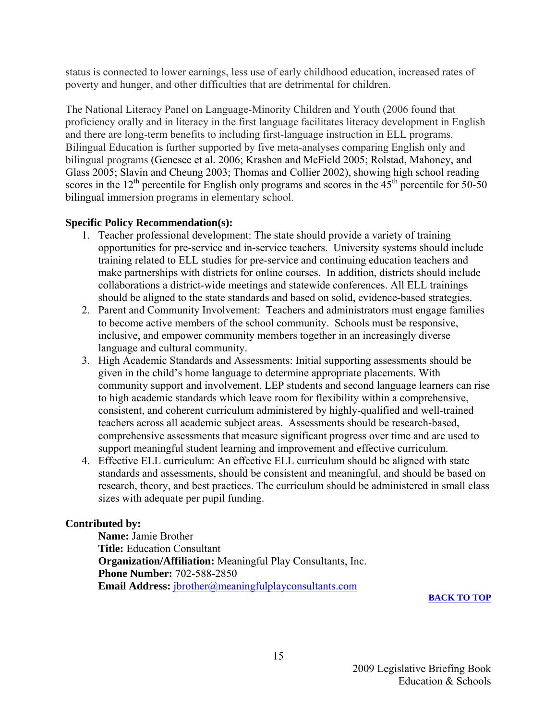status is connected to lower earnings, less use of early childhood education, increased rates of poverty and hunger, and other difficulties that are detrimental for children.

The National Literacy Panel on Language-Minority Children and Youth (2006 found that proficiency orally and in literacy in the first language facilitates literacy development in English and there are long-term benefits to including first-language instruction in ELL programs. Bilingual Education is further supported by five meta-analyses comparing English only and bilingual programs (Genesee et al. 2006; Krashen and McField 2005; Rolstad, Mahoney, and Glass 2005; Slavin and Cheung 2003; Thomas and Collier 2002), showing high school reading scores in the 12<sup>th</sup> percentile for English only programs and scores in the  $45<sup>th</sup>$  percentile for 50-50 bilingual immersion programs in elementary school.

#### **Specific Policy Recommendation(s):**

- 1. Teacher professional development: The state should provide a variety of training opportunities for pre-service and in-service teachers. University systems should include training related to ELL studies for pre-service and continuing education teachers and make partnerships with districts for online courses. In addition, districts should include collaborations a district-wide meetings and statewide conferences. All ELL trainings should be aligned to the state standards and based on solid, evidence-based strategies.
- 2. Parent and Community Involvement: Teachers and administrators must engage families to become active members of the school community. Schools must be responsive, inclusive, and empower community members together in an increasingly diverse language and cultural community.
- 3. High Academic Standards and Assessments: Initial supporting assessments should be given in the child's home language to determine appropriate placements. With community support and involvement, LEP students and second language learners can rise to high academic standards which leave room for flexibility within a comprehensive, consistent, and coherent curriculum administered by highly-qualified and well-trained teachers across all academic subject areas. Assessments should be research-based, comprehensive assessments that measure significant progress over time and are used to support meaningful student learning and improvement and effective curriculum.
- 4. Effective ELL curriculum: An effective ELL curriculum should be aligned with state standards and assessments, should be consistent and meaningful, and should be based on research, theory, and best practices. The curriculum should be administered in small class sizes with adequate per pupil funding.

#### **Contributed by:**

 **Name:** Jamie Brother  **Title:** Education Consultant  **Organization/Affiliation:** Meaningful Play Consultants, Inc.  **Phone Number:** 702-588-2850 **Email Address:** jbrother@meaningfulplayconsultants.com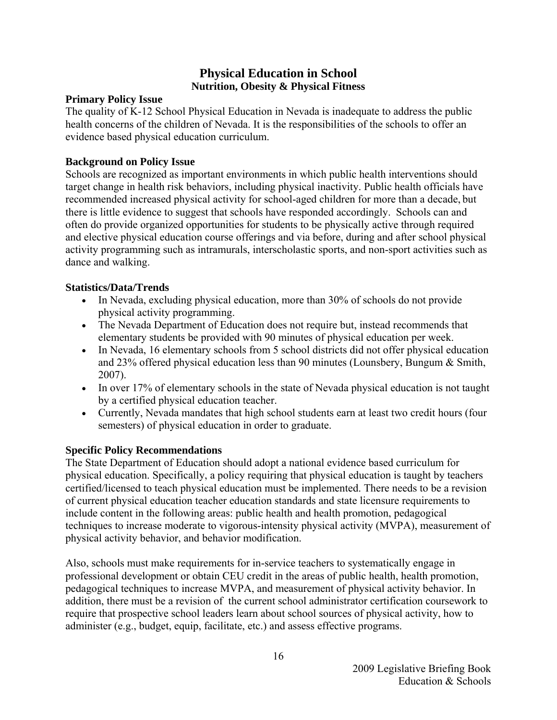#### **Physical Education in School Nutrition, Obesity & Physical Fitness**

#### <span id="page-17-0"></span>**Primary Policy Issue**

The quality of K-12 School Physical Education in Nevada is inadequate to address the public health concerns of the children of Nevada. It is the responsibilities of the schools to offer an evidence based physical education curriculum.

#### **Background on Policy Issue**

Schools are recognized as important environments in which public health interventions should target change in health risk behaviors, including physical inactivity. Public health officials have recommended increased physical activity for school-aged children for more than a decade, but there is little evidence to suggest that schools have responded accordingly. Schools can and often do provide organized opportunities for students to be physically active through required and elective physical education course offerings and via before, during and after school physical activity programming such as intramurals, interscholastic sports, and non-sport activities such as dance and walking.

#### **Statistics/Data/Trends**

- In Nevada, excluding physical education, more than 30% of schools do not provide physical activity programming.
- The Nevada Department of Education does not require but, instead recommends that elementary students be provided with 90 minutes of physical education per week.
- In Nevada, 16 elementary schools from 5 school districts did not offer physical education and 23% offered physical education less than 90 minutes (Lounsbery, Bungum & Smith, 2007).
- In over 17% of elementary schools in the state of Nevada physical education is not taught by a certified physical education teacher.
- Currently, Nevada mandates that high school students earn at least two credit hours (four semesters) of physical education in order to graduate.

#### **Specific Policy Recommendations**

The State Department of Education should adopt a national evidence based curriculum for physical education. Specifically, a policy requiring that physical education is taught by teachers certified/licensed to teach physical education must be implemented. There needs to be a revision of current physical education teacher education standards and state licensure requirements to include content in the following areas: public health and health promotion, pedagogical techniques to increase moderate to vigorous-intensity physical activity (MVPA), measurement of physical activity behavior, and behavior modification.

Also, schools must make requirements for in-service teachers to systematically engage in professional development or obtain CEU credit in the areas of public health, health promotion, pedagogical techniques to increase MVPA, and measurement of physical activity behavior. In addition, there must be a revision of the current school administrator certification coursework to require that prospective school leaders learn about school sources of physical activity, how to administer (e.g., budget, equip, facilitate, etc.) and assess effective programs.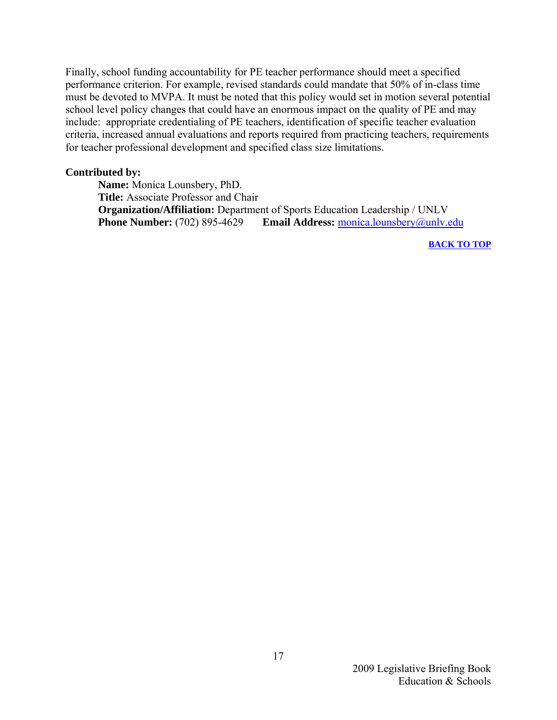Finally, school funding accountability for PE teacher performance should meet a specified performance criterion. For example, revised standards could mandate that 50% of in-class time must be devoted to MVPA. It must be noted that this policy would set in motion several potential school level policy changes that could have an enormous impact on the quality of PE and may include: appropriate credentialing of PE teachers, identification of specific teacher evaluation criteria, increased annual evaluations and reports required from practicing teachers, requirements for teacher professional development and specified class size limitations.

#### **Contributed by:**

 **Name:** Monica Lounsbery, PhD.  **Title:** Associate Professor and Chair  **Organization/Affiliation:** Department of Sports Education Leadership / UNLV **Phone Number:** (702) 895-4629 **Email Address:** monica.lounsbery@unly.edu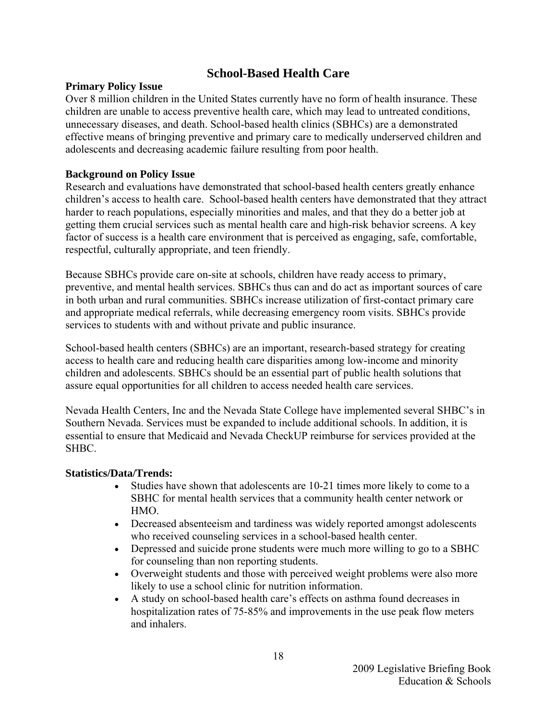#### **School-Based Health Care**

#### <span id="page-19-0"></span>**Primary Policy Issue**

Over 8 million children in the United States currently have no form of health insurance. These children are unable to access preventive health care, which may lead to untreated conditions, unnecessary diseases, and death. School-based health clinics (SBHCs) are a demonstrated effective means of bringing preventive and primary care to medically underserved children and adolescents and decreasing academic failure resulting from poor health.

#### **Background on Policy Issue**

Research and evaluations have demonstrated that school-based health centers greatly enhance children's access to health care. School-based health centers have demonstrated that they attract harder to reach populations, especially minorities and males, and that they do a better job at getting them crucial services such as mental health care and high-risk behavior screens. A key factor of success is a health care environment that is perceived as engaging, safe, comfortable, respectful, culturally appropriate, and teen friendly.

Because SBHCs provide care on-site at schools, children have ready access to primary, preventive, and mental health services. SBHCs thus can and do act as important sources of care in both urban and rural communities. SBHCs increase utilization of first-contact primary care and appropriate medical referrals, while decreasing emergency room visits. SBHCs provide services to students with and without private and public insurance.

School-based health centers (SBHCs) are an important, research-based strategy for creating access to health care and reducing health care disparities among low-income and minority children and adolescents. SBHCs should be an essential part of public health solutions that assure equal opportunities for all children to access needed health care services.

Nevada Health Centers, Inc and the Nevada State College have implemented several SHBC's in Southern Nevada. Services must be expanded to include additional schools. In addition, it is essential to ensure that Medicaid and Nevada CheckUP reimburse for services provided at the SHBC.

#### **Statistics/Data/Trends:**

- Studies have shown that adolescents are 10-21 times more likely to come to a SBHC for mental health services that a community health center network or HMO.
- Decreased absenteeism and tardiness was widely reported amongst adolescents who received counseling services in a school-based health center.
- Depressed and suicide prone students were much more willing to go to a SBHC for counseling than non reporting students.
- Overweight students and those with perceived weight problems were also more likely to use a school clinic for nutrition information.
- A study on school-based health care's effects on asthma found decreases in hospitalization rates of 75-85% and improvements in the use peak flow meters and inhalers.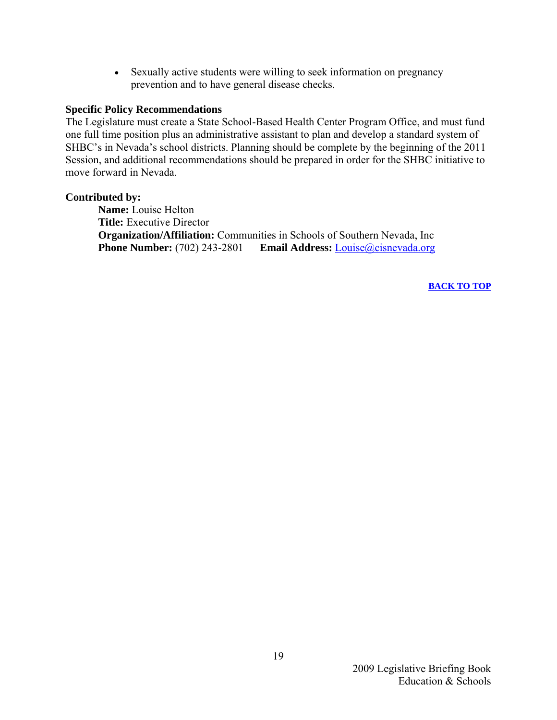• Sexually active students were willing to seek information on pregnancy prevention and to have general disease checks.

#### **Specific Policy Recommendations**

The Legislature must create a State School-Based Health Center Program Office, and must fund one full time position plus an administrative assistant to plan and develop a standard system of SHBC's in Nevada's school districts. Planning should be complete by the beginning of the 2011 Session, and additional recommendations should be prepared in order for the SHBC initiative to move forward in Nevada.

#### **Contributed by:**

 **Name:** Louise Helton  **Title:** Executive Director  **Organization/Affiliation:** Communities in Schools of Southern Nevada, Inc  **Phone Number:** (702) 243-2801 **Email Address:** [Louise@cisnevada.org](mailto:Louise@cisnevada.org)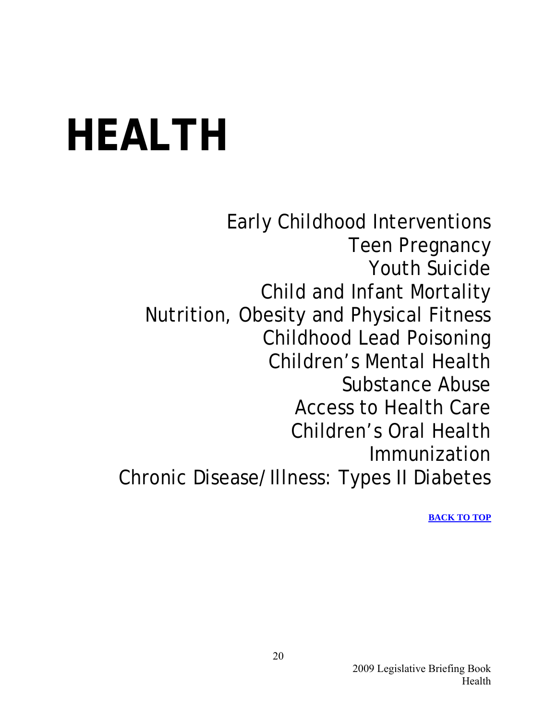## <span id="page-21-0"></span>**HEALTH**

Early Childhood Interventions Teen Pregnancy Youth Suicide Child and Infant Mortality Nutrition, Obesity and Physical Fitness Childhood Lead Poisoning Children's Mental Health Substance Abuse Access to Health Care Children's Oral Health Immunization Chronic Disease/Illness: Types II Diabetes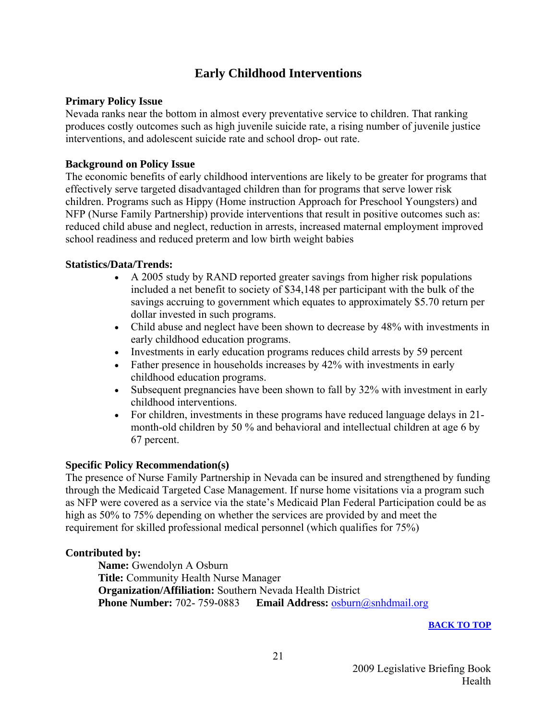#### **Early Childhood Interventions**

#### <span id="page-22-0"></span>**Primary Policy Issue**

Nevada ranks near the bottom in almost every preventative service to children. That ranking produces costly outcomes such as high juvenile suicide rate, a rising number of juvenile justice interventions, and adolescent suicide rate and school drop- out rate.

#### **Background on Policy Issue**

The economic benefits of early childhood interventions are likely to be greater for programs that effectively serve targeted disadvantaged children than for programs that serve lower risk children. Programs such as Hippy (Home instruction Approach for Preschool Youngsters) and NFP (Nurse Family Partnership) provide interventions that result in positive outcomes such as: reduced child abuse and neglect, reduction in arrests, increased maternal employment improved school readiness and reduced preterm and low birth weight babies

#### **Statistics/Data/Trends:**

- A 2005 study by RAND reported greater savings from higher risk populations included a net benefit to society of \$34,148 per participant with the bulk of the savings accruing to government which equates to approximately \$5.70 return per dollar invested in such programs.
- Child abuse and neglect have been shown to decrease by 48% with investments in early childhood education programs.
- Investments in early education programs reduces child arrests by 59 percent
- Father presence in households increases by 42% with investments in early childhood education programs.
- Subsequent pregnancies have been shown to fall by 32% with investment in early childhood interventions.
- For children, investments in these programs have reduced language delays in 21 month-old children by 50 % and behavioral and intellectual children at age 6 by 67 percent.

#### **Specific Policy Recommendation(s)**

The presence of Nurse Family Partnership in Nevada can be insured and strengthened by funding through the Medicaid Targeted Case Management. If nurse home visitations via a program such as NFP were covered as a service via the state's Medicaid Plan Federal Participation could be as high as 50% to 75% depending on whether the services are provided by and meet the requirement for skilled professional medical personnel (which qualifies for 75%)

#### **Contributed by:**

 **Name:** Gwendolyn A Osburn  **Title:** Community Health Nurse Manager  **Organization/Affiliation:** Southern Nevada Health District  **Phone Number:** 702- 759-0883 **Email Address:** [osburn@snhdmail.org](mailto:osburn@snhdmail.org)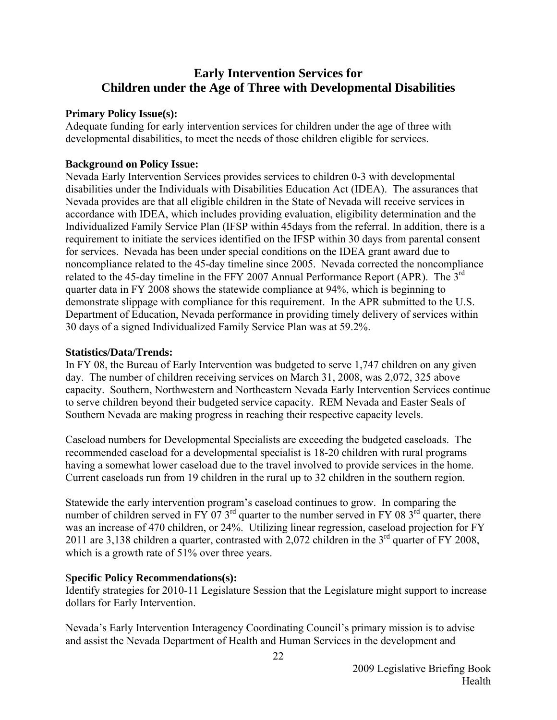#### <span id="page-23-0"></span>**Early Intervention Services for Children under the Age of Three with Developmental Disabilities**

#### **Primary Policy Issue(s):**

Adequate funding for early intervention services for children under the age of three with developmental disabilities, to meet the needs of those children eligible for services.

#### **Background on Policy Issue:**

Nevada Early Intervention Services provides services to children 0-3 with developmental disabilities under the Individuals with Disabilities Education Act (IDEA). The assurances that Nevada provides are that all eligible children in the State of Nevada will receive services in accordance with IDEA, which includes providing evaluation, eligibility determination and the Individualized Family Service Plan (IFSP within 45days from the referral. In addition, there is a requirement to initiate the services identified on the IFSP within 30 days from parental consent for services. Nevada has been under special conditions on the IDEA grant award due to noncompliance related to the 45-day timeline since 2005. Nevada corrected the noncompliance related to the 45-day timeline in the FFY 2007 Annual Performance Report (APR). The  $3<sup>rd</sup>$ quarter data in FY 2008 shows the statewide compliance at 94%, which is beginning to demonstrate slippage with compliance for this requirement. In the APR submitted to the U.S. Department of Education, Nevada performance in providing timely delivery of services within 30 days of a signed Individualized Family Service Plan was at 59.2%.

#### **Statistics/Data/Trends:**

In FY 08, the Bureau of Early Intervention was budgeted to serve 1,747 children on any given day. The number of children receiving services on March 31, 2008, was 2,072, 325 above capacity. Southern, Northwestern and Northeastern Nevada Early Intervention Services continue to serve children beyond their budgeted service capacity. REM Nevada and Easter Seals of Southern Nevada are making progress in reaching their respective capacity levels.

Caseload numbers for Developmental Specialists are exceeding the budgeted caseloads. The recommended caseload for a developmental specialist is 18-20 children with rural programs having a somewhat lower caseload due to the travel involved to provide services in the home. Current caseloads run from 19 children in the rural up to 32 children in the southern region.

Statewide the early intervention program's caseload continues to grow. In comparing the number of children served in FY 07  $3^{\text{rd}}$  quarter to the number served in FY 08  $3^{\text{rd}}$  quarter, there was an increase of 470 children, or 24%. Utilizing linear regression, caseload projection for FY 2011 are 3,138 children a quarter, contrasted with  $2,072$  children in the 3<sup>rd</sup> quarter of FY 2008, which is a growth rate of 51% over three years.

#### S**pecific Policy Recommendations(s):**

Identify strategies for 2010-11 Legislature Session that the Legislature might support to increase dollars for Early Intervention.

Nevada's Early Intervention Interagency Coordinating Council's primary mission is to advise and assist the Nevada Department of Health and Human Services in the development and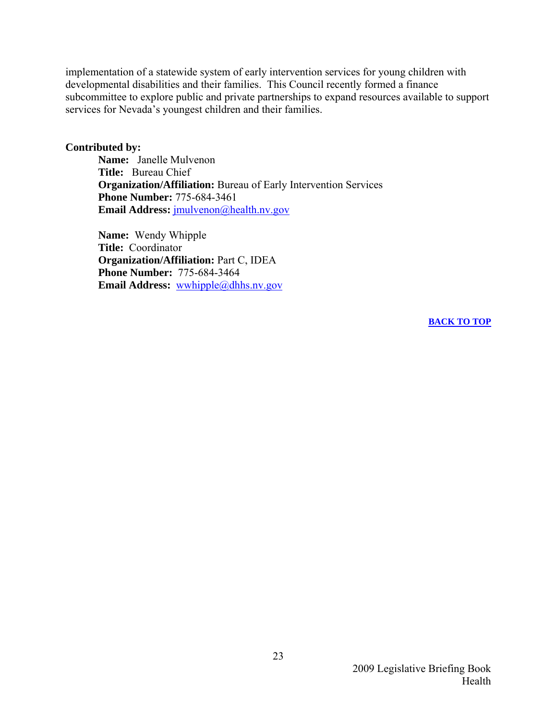implementation of a statewide system of early intervention services for young children with developmental disabilities and their families. This Council recently formed a finance subcommittee to explore public and private partnerships to expand resources available to support services for Nevada's youngest children and their families.

#### **Contributed by:**

**Name:** Janelle Mulvenon  **Title:** Bureau Chief  **Organization/Affiliation:** Bureau of Early Intervention Services  **Phone Number:** 775-684-3461 **Email Address:** [jmulvenon@health.nv.gov](mailto:___jmulvenon@health.nv.gov________________________________%20_)

**Name:** Wendy Whipple  **Title:** Coordinator **Organization/Affiliation:** Part C, IDEA  **Phone Number:** 775-684-3464 **Email Address:** [wwhipple@dhhs.nv.gov](mailto:___wwhipple@dhhs.nv.gov__________________________________)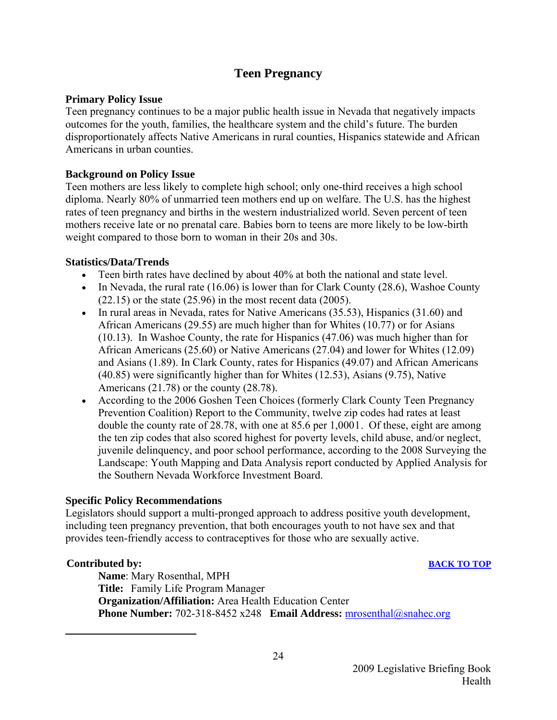#### **Teen Pregnancy**

#### <span id="page-25-0"></span>**Primary Policy Issue**

Teen pregnancy continues to be a major public health issue in Nevada that negatively impacts outcomes for the youth, families, the healthcare system and the child's future. The burden disproportionately affects Native Americans in rural counties, Hispanics statewide and African Americans in urban counties.

#### **Background on Policy Issue**

Teen mothers are less likely to complete high school; only one-third receives a high school diploma. Nearly 80% of unmarried teen mothers end up on welfare. The U.S. has the highest rates of teen pregnancy and births in the western industrialized world. Seven percent of teen mothers receive late or no prenatal care. Babies born to teens are more likely to be low-birth weight compared to those born to woman in their 20s and 30s.

#### **Statistics/Data/Trends**

- Teen birth rates have declined by about 40% at both the national and state level.
- In Nevada, the rural rate  $(16.06)$  is lower than for Clark County  $(28.6)$ , Washoe County (22.15) or the state (25.96) in the most recent data (2005).
- In rural areas in Nevada, rates for Native Americans (35.53), Hispanics (31.60) and African Americans (29.55) are much higher than for Whites (10.77) or for Asians (10.13). In Washoe County, the rate for Hispanics (47.06) was much higher than for African Americans (25.60) or Native Americans (27.04) and lower for Whites (12.09) and Asians (1.89). In Clark County, rates for Hispanics (49.07) and African Americans (40.85) were significantly higher than for Whites (12.53), Asians (9.75), Native Americans (21.78) or the county (28.78).
- According to the 2006 Goshen Teen Choices (formerly Clark County Teen Pregnancy Prevention Coalition) Report to the Community, twelve zip codes had rates at least double the county rate of 28.78, with one at 85.6 per 1,000[1](#page-25-1). Of these, eight are among the ten zip codes that also scored highest for poverty levels, child abuse, and/or neglect, juvenile delinquency, and poor school performance, according to the 2008 Surveying the Landscape: Youth Mapping and Data Analysis report conducted by Applied Analysis for the Southern Nevada Workforce Investment Board.

#### **Specific Policy Recommendations**

Legislators should support a multi-pronged approach to address positive youth development, including teen pregnancy prevention, that both encourages youth to not have sex and that provides teen-friendly access to contraceptives for those who are sexually active.

#### **Contributed by: [BACK TO TOP](#page-4-0)**

<span id="page-25-1"></span> $\overline{a}$ 

**Name**: Mary Rosenthal, MPH **Title:** Family Life Program Manager **Organization/Affiliation:** Area Health Education Center **Phone Number:** 702-318-8452 x248 **Email Address:** [mrosenthal@snahec.org](mailto:mrosenthal@snahec.org)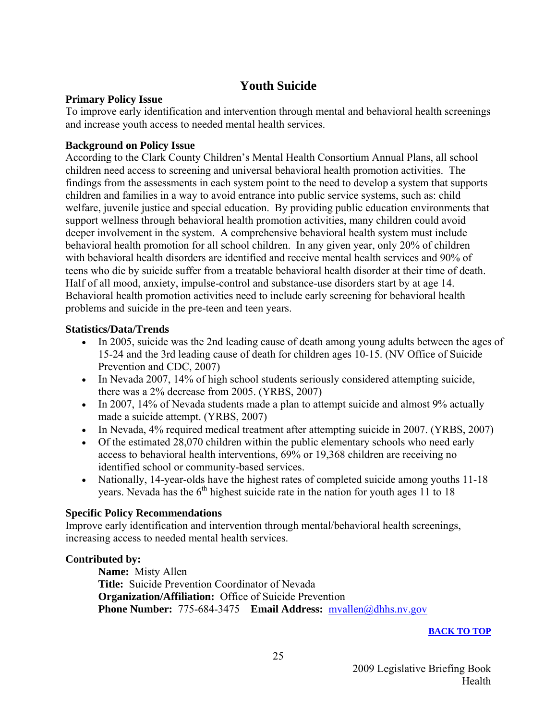#### **Youth Suicide**

#### <span id="page-26-0"></span>**Primary Policy Issue**

To improve early identification and intervention through mental and behavioral health screenings and increase youth access to needed mental health services.

#### **Background on Policy Issue**

According to the Clark County Children's Mental Health Consortium Annual Plans, all school children need access to screening and universal behavioral health promotion activities. The findings from the assessments in each system point to the need to develop a system that supports children and families in a way to avoid entrance into public service systems, such as: child welfare, juvenile justice and special education. By providing public education environments that support wellness through behavioral health promotion activities, many children could avoid deeper involvement in the system. A comprehensive behavioral health system must include behavioral health promotion for all school children. In any given year, only 20% of children with behavioral health disorders are identified and receive mental health services and 90% of teens who die by suicide suffer from a treatable behavioral health disorder at their time of death. Half of all mood, anxiety, impulse-control and substance-use disorders start by at age 14. Behavioral health promotion activities need to include early screening for behavioral health problems and suicide in the pre-teen and teen years.

#### **Statistics/Data/Trends**

- In 2005, suicide was the 2nd leading cause of death among young adults between the ages of 15-24 and the 3rd leading cause of death for children ages 10-15. (NV Office of Suicide Prevention and CDC, 2007)
- In Nevada 2007, 14% of high school students seriously considered attempting suicide, there was a 2% decrease from 2005. (YRBS, 2007)
- In 2007, 14% of Nevada students made a plan to attempt suicide and almost 9% actually made a suicide attempt. (YRBS, 2007)
- In Nevada, 4% required medical treatment after attempting suicide in 2007. (YRBS, 2007)
- Of the estimated 28,070 children within the public elementary schools who need early access to behavioral health interventions, 69% or 19,368 children are receiving no identified school or community-based services.
- Nationally, 14-year-olds have the highest rates of completed suicide among youths 11-18 years. Nevada has the  $6<sup>th</sup>$  highest suicide rate in the nation for youth ages 11 to 18

#### **Specific Policy Recommendations**

Improve early identification and intervention through mental/behavioral health screenings, increasing access to needed mental health services.

#### **Contributed by:**

**Name:** Misty Allen **Title:** Suicide Prevention Coordinator of Nevada **Organization/Affiliation:** Office of Suicide Prevention **Phone Number:** 775-684-3475 **Email Address:** [mvallen@dhhs.nv.gov](mailto:mvallen@dhhs.nv.gov)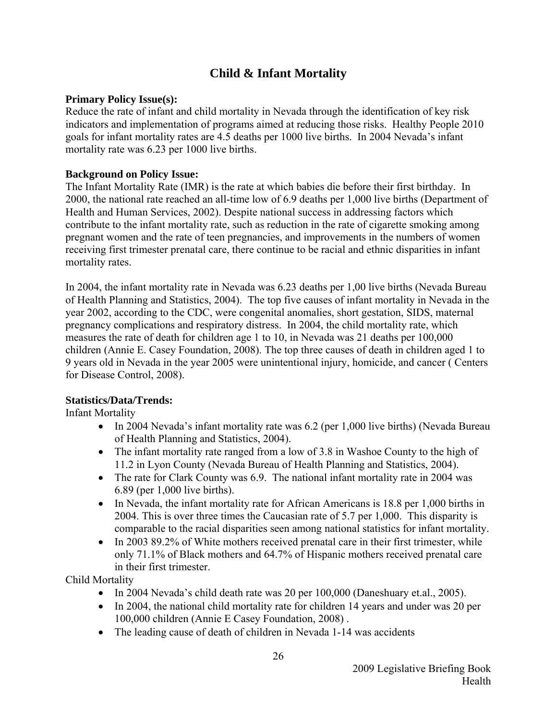#### **Child & Infant Mortality**

#### <span id="page-27-0"></span>**Primary Policy Issue(s):**

Reduce the rate of infant and child mortality in Nevada through the identification of key risk indicators and implementation of programs aimed at reducing those risks. Healthy People 2010 goals for infant mortality rates are 4.5 deaths per 1000 live births. In 2004 Nevada's infant mortality rate was 6.23 per 1000 live births.

#### **Background on Policy Issue:**

The Infant Mortality Rate (IMR) is the rate at which babies die before their first birthday. In 2000, the national rate reached an all-time low of 6.9 deaths per 1,000 live births (Department of Health and Human Services, 2002). Despite national success in addressing factors which contribute to the infant mortality rate, such as reduction in the rate of cigarette smoking among pregnant women and the rate of teen pregnancies, and improvements in the numbers of women receiving first trimester prenatal care, there continue to be racial and ethnic disparities in infant mortality rates.

In 2004, the infant mortality rate in Nevada was 6.23 deaths per 1,00 live births (Nevada Bureau of Health Planning and Statistics, 2004). The top five causes of infant mortality in Nevada in the year 2002, according to the CDC, were congenital anomalies, short gestation, SIDS, maternal pregnancy complications and respiratory distress. In 2004, the child mortality rate, which measures the rate of death for children age 1 to 10, in Nevada was 21 deaths per 100,000 children (Annie E. Casey Foundation, 2008). The top three causes of death in children aged 1 to 9 years old in Nevada in the year 2005 were unintentional injury, homicide, and cancer ( Centers for Disease Control, 2008).

#### **Statistics/Data/Trends:**

Infant Mortality

- In 2004 Nevada's infant mortality rate was 6.2 (per 1,000 live births) (Nevada Bureau of Health Planning and Statistics, 2004).
- The infant mortality rate ranged from a low of 3.8 in Washoe County to the high of 11.2 in Lyon County (Nevada Bureau of Health Planning and Statistics, 2004).
- The rate for Clark County was 6.9. The national infant mortality rate in 2004 was 6.89 (per 1,000 live births).
- In Nevada, the infant mortality rate for African Americans is 18.8 per 1,000 births in 2004. This is over three times the Caucasian rate of 5.7 per 1,000. This disparity is comparable to the racial disparities seen among national statistics for infant mortality.
- In 2003 89.2% of White mothers received prenatal care in their first trimester, while only 71.1% of Black mothers and 64.7% of Hispanic mothers received prenatal care in their first trimester.

Child Mortality

- In 2004 Nevada's child death rate was 20 per 100,000 (Daneshuary et.al., 2005).
- In 2004, the national child mortality rate for children 14 years and under was 20 per 100,000 children (Annie E Casey Foundation, 2008) .
- The leading cause of death of children in Nevada 1-14 was accidents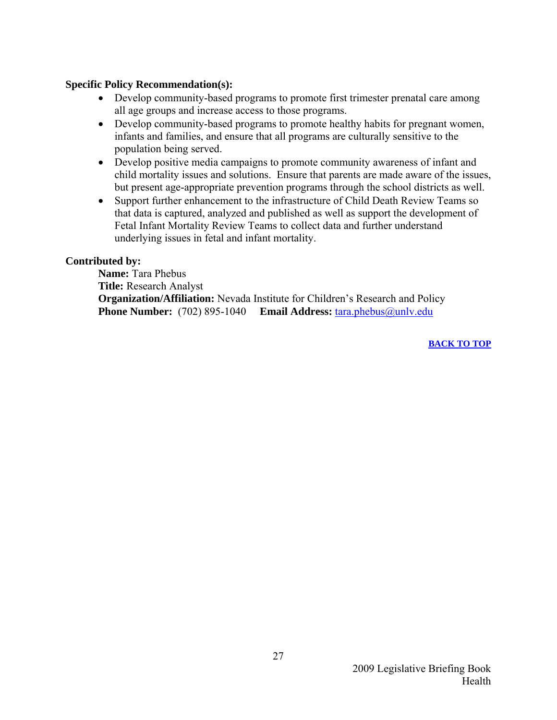#### **Specific Policy Recommendation(s):**

- Develop community-based programs to promote first trimester prenatal care among all age groups and increase access to those programs.
- Develop community-based programs to promote healthy habits for pregnant women, infants and families, and ensure that all programs are culturally sensitive to the population being served.
- Develop positive media campaigns to promote community awareness of infant and child mortality issues and solutions. Ensure that parents are made aware of the issues, but present age-appropriate prevention programs through the school districts as well.
- Support further enhancement to the infrastructure of Child Death Review Teams so that data is captured, analyzed and published as well as support the development of Fetal Infant Mortality Review Teams to collect data and further understand underlying issues in fetal and infant mortality.

#### **Contributed by:**

 **Name:** Tara Phebus  **Title:** Research Analyst  **Organization/Affiliation:** Nevada Institute for Children's Research and Policy  **Phone Number:** (702) 895-1040 **Email Address:** [tara.phebus@unlv.edu](mailto:tara.phebus@unlv.edu)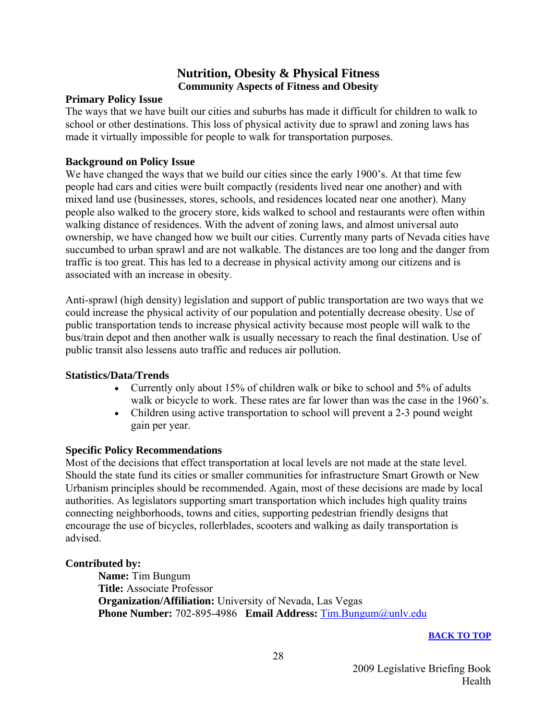#### **Nutrition, Obesity & Physical Fitness Community Aspects of Fitness and Obesity**

#### <span id="page-29-0"></span>**Primary Policy Issue**

The ways that we have built our cities and suburbs has made it difficult for children to walk to school or other destinations. This loss of physical activity due to sprawl and zoning laws has made it virtually impossible for people to walk for transportation purposes.

#### **Background on Policy Issue**

We have changed the ways that we build our cities since the early 1900's. At that time few people had cars and cities were built compactly (residents lived near one another) and with mixed land use (businesses, stores, schools, and residences located near one another). Many people also walked to the grocery store, kids walked to school and restaurants were often within walking distance of residences. With the advent of zoning laws, and almost universal auto ownership, we have changed how we built our cities. Currently many parts of Nevada cities have succumbed to urban sprawl and are not walkable. The distances are too long and the danger from traffic is too great. This has led to a decrease in physical activity among our citizens and is associated with an increase in obesity.

Anti-sprawl (high density) legislation and support of public transportation are two ways that we could increase the physical activity of our population and potentially decrease obesity. Use of public transportation tends to increase physical activity because most people will walk to the bus/train depot and then another walk is usually necessary to reach the final destination. Use of public transit also lessens auto traffic and reduces air pollution.

#### **Statistics/Data/Trends**

- Currently only about 15% of children walk or bike to school and 5% of adults walk or bicycle to work. These rates are far lower than was the case in the 1960's.
- Children using active transportation to school will prevent a 2-3 pound weight gain per year.

#### **Specific Policy Recommendations**

Most of the decisions that effect transportation at local levels are not made at the state level. Should the state fund its cities or smaller communities for infrastructure Smart Growth or New Urbanism principles should be recommended. Again, most of these decisions are made by local authorities. As legislators supporting smart transportation which includes high quality trains connecting neighborhoods, towns and cities, supporting pedestrian friendly designs that encourage the use of bicycles, rollerblades, scooters and walking as daily transportation is advised.

#### **Contributed by:**

**Name:** Tim Bungum **Title:** Associate Professor **Organization/Affiliation:** University of Nevada, Las Vegas **Phone Number:** 702-895-4986 **Email Address:** [Tim.Bungum@unlv.edu](mailto:Tim.Bungum@unlv.edu)

#### **[BACK TO TOP](#page-4-0)**

2009 Legislative Briefing Book Health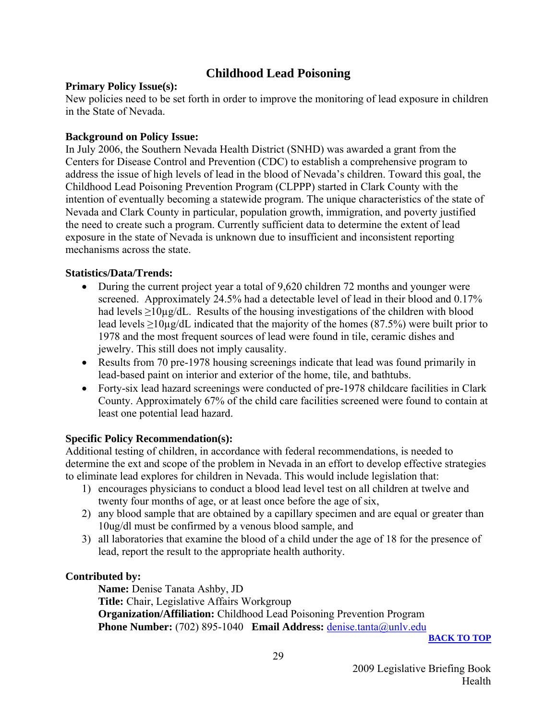#### **Childhood Lead Poisoning**

#### <span id="page-30-0"></span>**Primary Policy Issue(s):**

New policies need to be set forth in order to improve the monitoring of lead exposure in children in the State of Nevada.

#### **Background on Policy Issue:**

In July 2006, the Southern Nevada Health District (SNHD) was awarded a grant from the Centers for Disease Control and Prevention (CDC) to establish a comprehensive program to address the issue of high levels of lead in the blood of Nevada's children. Toward this goal, the Childhood Lead Poisoning Prevention Program (CLPPP) started in Clark County with the intention of eventually becoming a statewide program. The unique characteristics of the state of Nevada and Clark County in particular, population growth, immigration, and poverty justified the need to create such a program. Currently sufficient data to determine the extent of lead exposure in the state of Nevada is unknown due to insufficient and inconsistent reporting mechanisms across the state.

#### **Statistics/Data/Trends:**

- During the current project year a total of 9.620 children 72 months and younger were screened. Approximately 24.5% had a detectable level of lead in their blood and 0.17% had levels  $\geq 10\mu$ g/dL. Results of the housing investigations of the children with blood lead levels  $\geq 10\mu$ g/dL indicated that the majority of the homes (87.5%) were built prior to 1978 and the most frequent sources of lead were found in tile, ceramic dishes and jewelry. This still does not imply causality.
- Results from 70 pre-1978 housing screenings indicate that lead was found primarily in lead-based paint on interior and exterior of the home, tile, and bathtubs.
- Forty-six lead hazard screenings were conducted of pre-1978 childcare facilities in Clark County. Approximately 67% of the child care facilities screened were found to contain at least one potential lead hazard.

#### **Specific Policy Recommendation(s):**

Additional testing of children, in accordance with federal recommendations, is needed to determine the ext and scope of the problem in Nevada in an effort to develop effective strategies to eliminate lead explores for children in Nevada. This would include legislation that:

- 1) encourages physicians to conduct a blood lead level test on all children at twelve and twenty four months of age, or at least once before the age of six,
- 2) any blood sample that are obtained by a capillary specimen and are equal or greater than 10ug/dl must be confirmed by a venous blood sample, and
- 3) all laboratories that examine the blood of a child under the age of 18 for the presence of lead, report the result to the appropriate health authority.

#### **Contributed by:**

 **Name:** Denise Tanata Ashby, JD  **Title:** Chair, Legislative Affairs Workgroup  **Organization/Affiliation:** Childhood Lead Poisoning Prevention Program **Phone Number:** (702) 895-1040 **Email Address:** [denise.tanta@unlv.edu](mailto:denise.tanta@unlv.edu)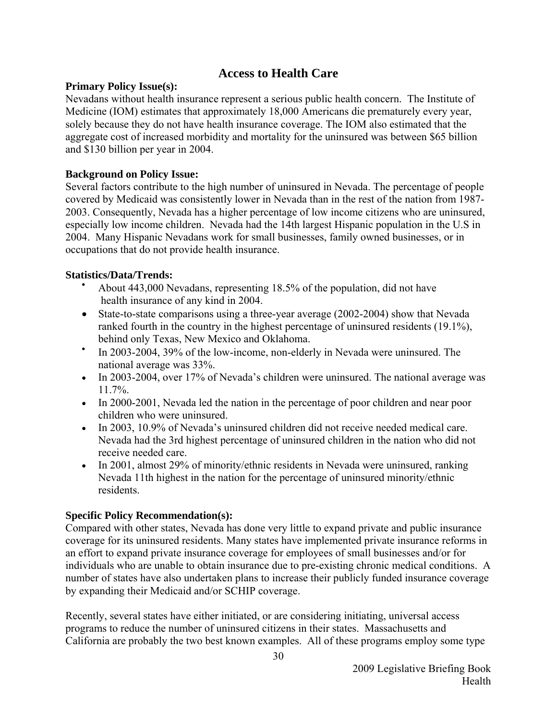#### **Access to Health Care**

#### <span id="page-31-0"></span>**Primary Policy Issue(s):**

Nevadans without health insurance represent a serious public health concern. The Institute of Medicine (IOM) estimates that approximately 18,000 Americans die prematurely every year, solely because they do not have health insurance coverage. The IOM also estimated that the aggregate cost of increased morbidity and mortality for the uninsured was between \$65 billion and \$130 billion per year in 2004.

#### **Background on Policy Issue:**

Several factors contribute to the high number of uninsured in Nevada. The percentage of people covered by Medicaid was consistently lower in Nevada than in the rest of the nation from 1987- 2003. Consequently, Nevada has a higher percentage of low income citizens who are uninsured, especially low income children. Nevada had the 14th largest Hispanic population in the U.S in 2004. Many Hispanic Nevadans work for small businesses, family owned businesses, or in occupations that do not provide health insurance.

#### **Statistics/Data/Trends:**

- About 443,000 Nevadans, representing 18.5% of the population, did not have health insurance of any kind in 2004.
- State-to-state comparisons using a three-year average (2002-2004) show that Nevada ranked fourth in the country in the highest percentage of uninsured residents (19.1%), behind only Texas, New Mexico and Oklahoma.
- In 2003-2004, 39% of the low-income, non-elderly in Nevada were uninsured. The national average was 33%.
- In 2003-2004, over 17% of Nevada's children were uninsured. The national average was 11.7%.
- In 2000-2001, Nevada led the nation in the percentage of poor children and near poor children who were uninsured.
- In 2003, 10.9% of Nevada's uninsured children did not receive needed medical care. Nevada had the 3rd highest percentage of uninsured children in the nation who did not receive needed care.
- In 2001, almost 29% of minority/ethnic residents in Nevada were uninsured, ranking Nevada 11th highest in the nation for the percentage of uninsured minority/ethnic residents.

#### **Specific Policy Recommendation(s):**

Compared with other states, Nevada has done very little to expand private and public insurance coverage for its uninsured residents. Many states have implemented private insurance reforms in an effort to expand private insurance coverage for employees of small businesses and/or for individuals who are unable to obtain insurance due to pre-existing chronic medical conditions. A number of states have also undertaken plans to increase their publicly funded insurance coverage by expanding their Medicaid and/or SCHIP coverage.

Recently, several states have either initiated, or are considering initiating, universal access programs to reduce the number of uninsured citizens in their states. Massachusetts and California are probably the two best known examples. All of these programs employ some type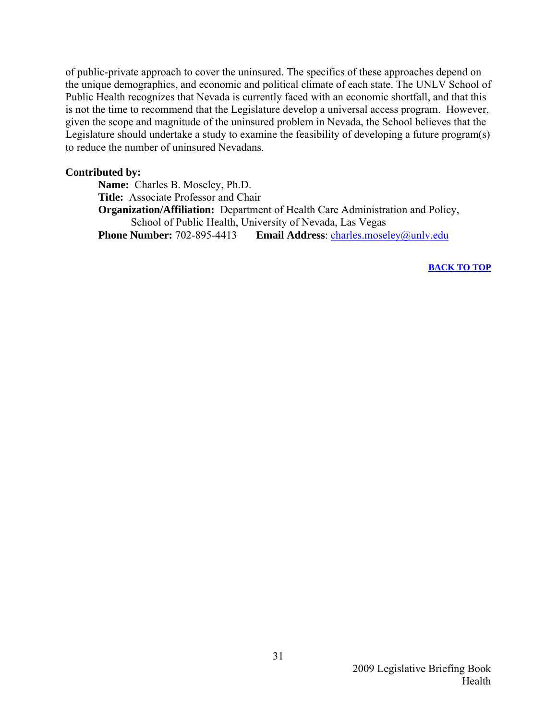of public-private approach to cover the uninsured. The specifics of these approaches depend on the unique demographics, and economic and political climate of each state. The UNLV School of Public Health recognizes that Nevada is currently faced with an economic shortfall, and that this is not the time to recommend that the Legislature develop a universal access program. However, given the scope and magnitude of the uninsured problem in Nevada, the School believes that the Legislature should undertake a study to examine the feasibility of developing a future program(s) to reduce the number of uninsured Nevadans.

#### **Contributed by:**

**Name:** Charles B. Moseley, Ph.D. **Title:** Associate Professor and Chair **Organization/Affiliation:** Department of Health Care Administration and Policy, School of Public Health, University of Nevada, Las Vegas **Phone Number:** 702-895-4413 **Email Address**: [charles.moseley@unlv.edu](mailto:charles.moseley@unlv.edu)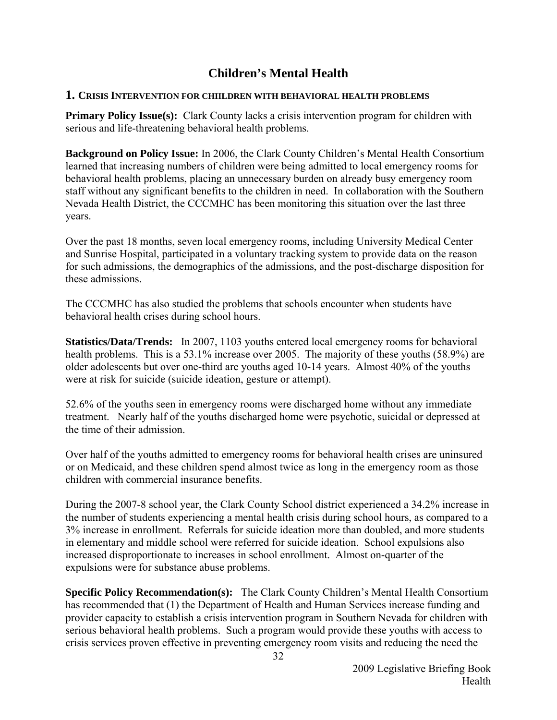#### **Children's Mental Health**

#### <span id="page-33-0"></span>**1. CRISIS INTERVENTION FOR CHIILDREN WITH BEHAVIORAL HEALTH PROBLEMS**

**Primary Policy Issue(s):** Clark County lacks a crisis intervention program for children with serious and life-threatening behavioral health problems.

**Background on Policy Issue:** In 2006, the Clark County Children's Mental Health Consortium learned that increasing numbers of children were being admitted to local emergency rooms for behavioral health problems, placing an unnecessary burden on already busy emergency room staff without any significant benefits to the children in need. In collaboration with the Southern Nevada Health District, the CCCMHC has been monitoring this situation over the last three years.

Over the past 18 months, seven local emergency rooms, including University Medical Center and Sunrise Hospital, participated in a voluntary tracking system to provide data on the reason for such admissions, the demographics of the admissions, and the post-discharge disposition for these admissions.

The CCCMHC has also studied the problems that schools encounter when students have behavioral health crises during school hours.

**Statistics/Data/Trends:** In 2007, 1103 youths entered local emergency rooms for behavioral health problems. This is a 53.1% increase over 2005. The majority of these youths (58.9%) are older adolescents but over one-third are youths aged 10-14 years. Almost 40% of the youths were at risk for suicide (suicide ideation, gesture or attempt).

52.6% of the youths seen in emergency rooms were discharged home without any immediate treatment. Nearly half of the youths discharged home were psychotic, suicidal or depressed at the time of their admission.

Over half of the youths admitted to emergency rooms for behavioral health crises are uninsured or on Medicaid, and these children spend almost twice as long in the emergency room as those children with commercial insurance benefits.

During the 2007-8 school year, the Clark County School district experienced a 34.2% increase in the number of students experiencing a mental health crisis during school hours, as compared to a 3% increase in enrollment. Referrals for suicide ideation more than doubled, and more students in elementary and middle school were referred for suicide ideation. School expulsions also increased disproportionate to increases in school enrollment. Almost on-quarter of the expulsions were for substance abuse problems.

**Specific Policy Recommendation(s):** The Clark County Children's Mental Health Consortium has recommended that (1) the Department of Health and Human Services increase funding and provider capacity to establish a crisis intervention program in Southern Nevada for children with serious behavioral health problems. Such a program would provide these youths with access to crisis services proven effective in preventing emergency room visits and reducing the need the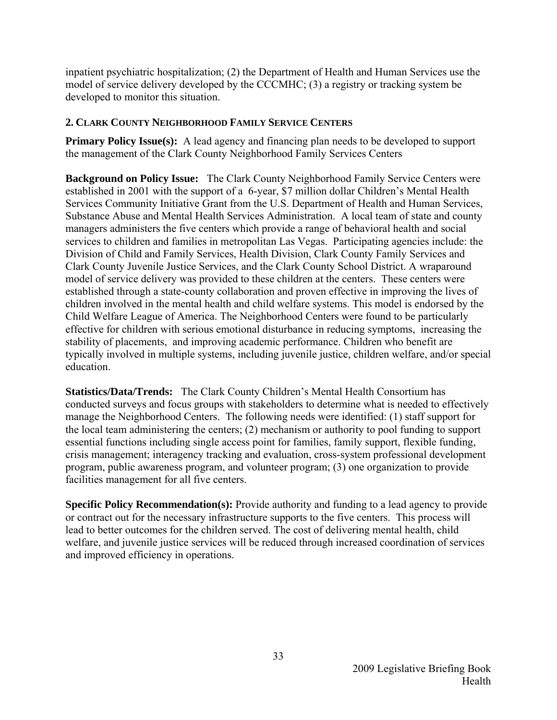inpatient psychiatric hospitalization; (2) the Department of Health and Human Services use the model of service delivery developed by the CCCMHC; (3) a registry or tracking system be developed to monitor this situation.

#### **2. CLARK COUNTY NEIGHBORHOOD FAMILY SERVICE CENTERS**

**Primary Policy Issue(s):** A lead agency and financing plan needs to be developed to support the management of the Clark County Neighborhood Family Services Centers

**Background on Policy Issue:** The Clark County Neighborhood Family Service Centers were established in 2001 with the support of a 6-year, \$7 million dollar Children's Mental Health Services Community Initiative Grant from the U.S. Department of Health and Human Services, Substance Abuse and Mental Health Services Administration. A local team of state and county managers administers the five centers which provide a range of behavioral health and social services to children and families in metropolitan Las Vegas. Participating agencies include: the Division of Child and Family Services, Health Division, Clark County Family Services and Clark County Juvenile Justice Services, and the Clark County School District. A wraparound model of service delivery was provided to these children at the centers. These centers were established through a state-county collaboration and proven effective in improving the lives of children involved in the mental health and child welfare systems. This model is endorsed by the Child Welfare League of America. The Neighborhood Centers were found to be particularly effective for children with serious emotional disturbance in reducing symptoms, increasing the stability of placements, and improving academic performance. Children who benefit are typically involved in multiple systems, including juvenile justice, children welfare, and/or special education.

**Statistics/Data/Trends:** The Clark County Children's Mental Health Consortium has conducted surveys and focus groups with stakeholders to determine what is needed to effectively manage the Neighborhood Centers. The following needs were identified: (1) staff support for the local team administering the centers; (2) mechanism or authority to pool funding to support essential functions including single access point for families, family support, flexible funding, crisis management; interagency tracking and evaluation, cross-system professional development program, public awareness program, and volunteer program; (3) one organization to provide facilities management for all five centers.

**Specific Policy Recommendation(s):** Provide authority and funding to a lead agency to provide or contract out for the necessary infrastructure supports to the five centers. This process will lead to better outcomes for the children served. The cost of delivering mental health, child welfare, and juvenile justice services will be reduced through increased coordination of services and improved efficiency in operations.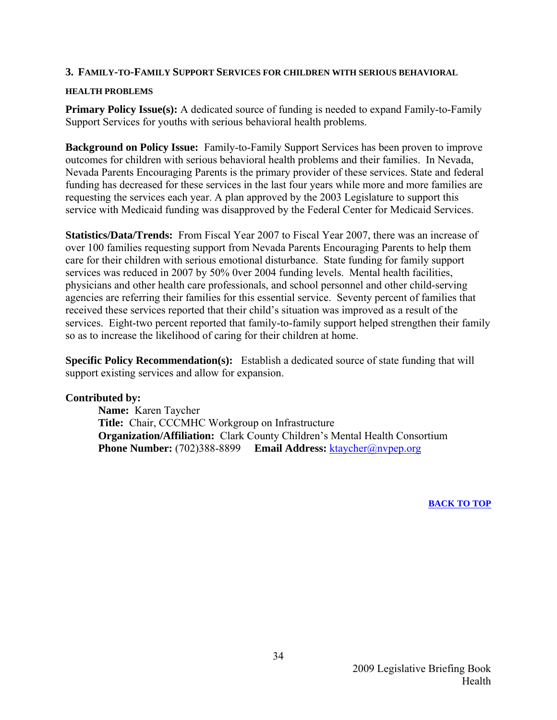#### **3. FAMILY-TO-FAMILY SUPPORT SERVICES FOR CHILDREN WITH SERIOUS BEHAVIORAL**

#### **HEALTH PROBLEMS**

**Primary Policy Issue(s):** A dedicated source of funding is needed to expand Family-to-Family Support Services for youths with serious behavioral health problems.

**Background on Policy Issue:** Family-to-Family Support Services has been proven to improve outcomes for children with serious behavioral health problems and their families. In Nevada, Nevada Parents Encouraging Parents is the primary provider of these services. State and federal funding has decreased for these services in the last four years while more and more families are requesting the services each year. A plan approved by the 2003 Legislature to support this service with Medicaid funding was disapproved by the Federal Center for Medicaid Services.

**Statistics/Data/Trends:** From Fiscal Year 2007 to Fiscal Year 2007, there was an increase of over 100 families requesting support from Nevada Parents Encouraging Parents to help them care for their children with serious emotional disturbance. State funding for family support services was reduced in 2007 by 50% 0ver 2004 funding levels. Mental health facilities, physicians and other health care professionals, and school personnel and other child-serving agencies are referring their families for this essential service. Seventy percent of families that received these services reported that their child's situation was improved as a result of the services. Eight-two percent reported that family-to-family support helped strengthen their family so as to increase the likelihood of caring for their children at home.

**Specific Policy Recommendation(s):** Establish a dedicated source of state funding that will support existing services and allow for expansion.

#### **Contributed by:**

**Name:** Karen Taycher **Title:** Chair, CCCMHC Workgroup on Infrastructure **Organization/Affiliation:** Clark County Children's Mental Health Consortium **Phone Number:** (702)388-8899 **Email Address:** [ktaycher@nvpep.org](mailto:ktaycher@nvpep.org)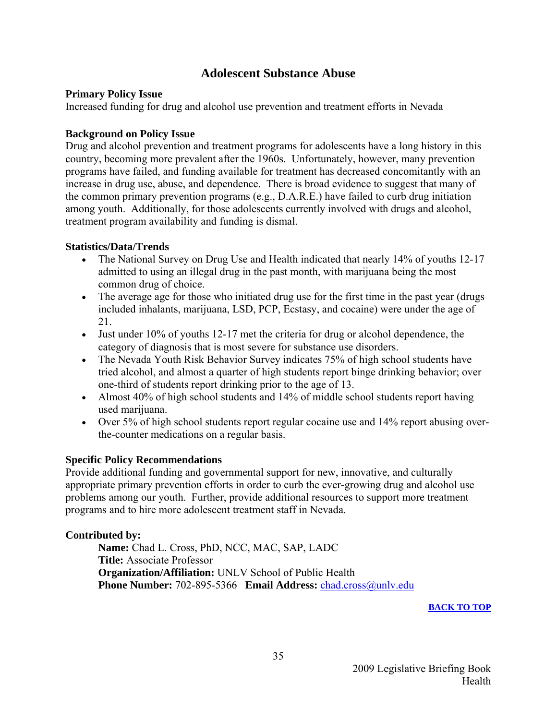#### **Adolescent Substance Abuse**

#### <span id="page-36-0"></span>**Primary Policy Issue**

Increased funding for drug and alcohol use prevention and treatment efforts in Nevada

#### **Background on Policy Issue**

Drug and alcohol prevention and treatment programs for adolescents have a long history in this country, becoming more prevalent after the 1960s. Unfortunately, however, many prevention programs have failed, and funding available for treatment has decreased concomitantly with an increase in drug use, abuse, and dependence. There is broad evidence to suggest that many of the common primary prevention programs (e.g., D.A.R.E.) have failed to curb drug initiation among youth. Additionally, for those adolescents currently involved with drugs and alcohol, treatment program availability and funding is dismal.

#### **Statistics/Data/Trends**

- The National Survey on Drug Use and Health indicated that nearly 14% of youths 12-17 admitted to using an illegal drug in the past month, with marijuana being the most common drug of choice.
- The average age for those who initiated drug use for the first time in the past year (drugs) included inhalants, marijuana, LSD, PCP, Ecstasy, and cocaine) were under the age of 21.
- Just under 10% of youths 12-17 met the criteria for drug or alcohol dependence, the category of diagnosis that is most severe for substance use disorders.
- The Nevada Youth Risk Behavior Survey indicates 75% of high school students have tried alcohol, and almost a quarter of high students report binge drinking behavior; over one-third of students report drinking prior to the age of 13.
- Almost 40% of high school students and 14% of middle school students report having used marijuana.
- Over 5% of high school students report regular cocaine use and 14% report abusing overthe-counter medications on a regular basis.

#### **Specific Policy Recommendations**

Provide additional funding and governmental support for new, innovative, and culturally appropriate primary prevention efforts in order to curb the ever-growing drug and alcohol use problems among our youth. Further, provide additional resources to support more treatment programs and to hire more adolescent treatment staff in Nevada.

#### **Contributed by:**

 **Name:** Chad L. Cross, PhD, NCC, MAC, SAP, LADC  **Title:** Associate Professor  **Organization/Affiliation:** UNLV School of Public Health  **Phone Number:** 702-895-5366 **Email Address:** [chad.cross@unlv.edu](mailto:chad.cross@unlv.edu)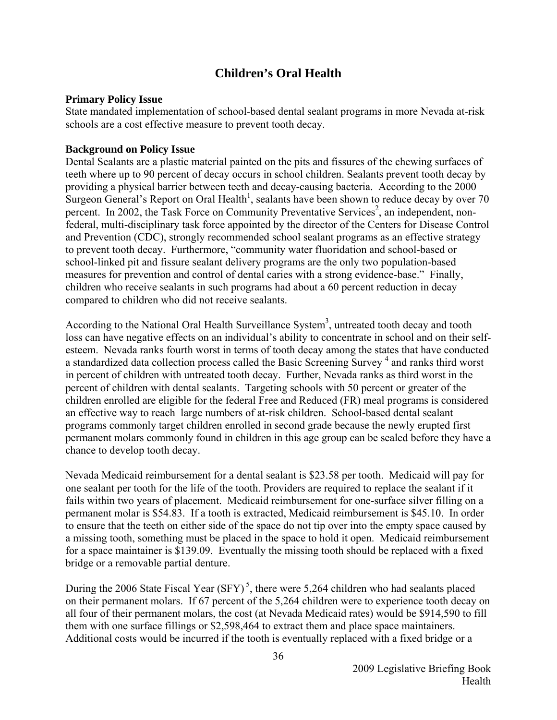#### **Children's Oral Health**

#### <span id="page-37-0"></span>**Primary Policy Issue**

State mandated implementation of school-based dental sealant programs in more Nevada at-risk schools are a cost effective measure to prevent tooth decay.

#### **Background on Policy Issue**

Dental Sealants are a plastic material painted on the pits and fissures of the chewing surfaces of teeth where up to 90 percent of decay occurs in school children. Sealants prevent tooth decay by providing a physical barrier between teeth and decay-causing bacteria. According to the 2000 Surgeon General's Report on Oral Health<sup>1</sup>, sealants have been shown to reduce decay by over 70 percent. In 2002, the Task Force on Community Preventative Services<sup>2</sup>, an independent, nonfederal, multi-disciplinary task force appointed by the director of the Centers for Disease Control and Prevention (CDC), strongly recommended school sealant programs as an effective strategy to prevent tooth decay. Furthermore, "community water fluoridation and school-based or school-linked pit and fissure sealant delivery programs are the only two population-based measures for prevention and control of dental caries with a strong evidence-base." Finally, children who receive sealants in such programs had about a 60 percent reduction in decay compared to children who did not receive sealants.

According to the National Oral Health Surveillance System<sup>3</sup>, untreated tooth decay and tooth loss can have negative effects on an individual's ability to concentrate in school and on their selfesteem. Nevada ranks fourth worst in terms of tooth decay among the states that have conducted a standardized data collection process called the Basic Screening Survey<sup>4</sup> and ranks third worst in percent of children with untreated tooth decay. Further, Nevada ranks as third worst in the percent of children with dental sealants. Targeting schools with 50 percent or greater of the children enrolled are eligible for the federal Free and Reduced (FR) meal programs is considered an effective way to reach large numbers of at-risk children. School-based dental sealant programs commonly target children enrolled in second grade because the newly erupted first permanent molars commonly found in children in this age group can be sealed before they have a chance to develop tooth decay.

Nevada Medicaid reimbursement for a dental sealant is \$23.58 per tooth. Medicaid will pay for one sealant per tooth for the life of the tooth. Providers are required to replace the sealant if it fails within two years of placement. Medicaid reimbursement for one-surface silver filling on a permanent molar is \$54.83. If a tooth is extracted, Medicaid reimbursement is \$45.10. In order to ensure that the teeth on either side of the space do not tip over into the empty space caused by a missing tooth, something must be placed in the space to hold it open. Medicaid reimbursement for a space maintainer is \$139.09. Eventually the missing tooth should be replaced with a fixed bridge or a removable partial denture.

During the 2006 State Fiscal Year  $(SFY)^5$ , there were 5,264 children who had sealants placed on their permanent molars. If 67 percent of the 5,264 children were to experience tooth decay on all four of their permanent molars, the cost (at Nevada Medicaid rates) would be \$914,590 to fill them with one surface fillings or \$2,598,464 to extract them and place space maintainers. Additional costs would be incurred if the tooth is eventually replaced with a fixed bridge or a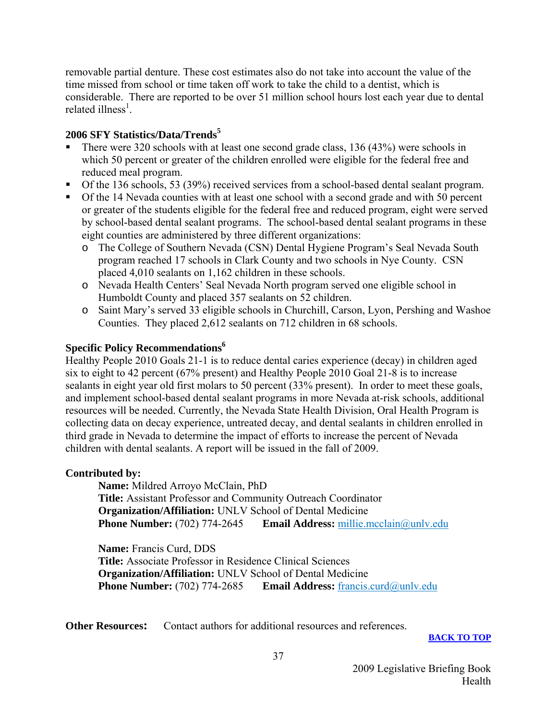removable partial denture. These cost estimates also do not take into account the value of the time missed from school or time taken off work to take the child to a dentist, which is considerable. There are reported to be over 51 million school hours lost each year due to dental related illness<sup>1</sup>.

#### **2006 SFY Statistics/Data/Trends<sup>5</sup>**

- There were 320 schools with at least one second grade class, 136 (43%) were schools in which 50 percent or greater of the children enrolled were eligible for the federal free and reduced meal program.
- Of the 136 schools, 53 (39%) received services from a school-based dental sealant program.
- Of the 14 Nevada counties with at least one school with a second grade and with 50 percent or greater of the students eligible for the federal free and reduced program, eight were served by school-based dental sealant programs. The school-based dental sealant programs in these eight counties are administered by three different organizations:
	- o The College of Southern Nevada (CSN) Dental Hygiene Program's Seal Nevada South program reached 17 schools in Clark County and two schools in Nye County. CSN placed 4,010 sealants on 1,162 children in these schools.
	- o Nevada Health Centers' Seal Nevada North program served one eligible school in Humboldt County and placed 357 sealants on 52 children.
	- o Saint Mary's served 33 eligible schools in Churchill, Carson, Lyon, Pershing and Washoe Counties. They placed 2,612 sealants on 712 children in 68 schools.

#### **Specific Policy Recommendations**<sup>6</sup>

Healthy People 2010 Goals 21-1 is to reduce dental caries experience (decay) in children aged six to eight to 42 percent (67% present) and Healthy People 2010 Goal 21-8 is to increase sealants in eight year old first molars to 50 percent (33% present). In order to meet these goals, and implement school-based dental sealant programs in more Nevada at-risk schools, additional resources will be needed. Currently, the Nevada State Health Division, Oral Health Program is collecting data on decay experience, untreated decay, and dental sealants in children enrolled in third grade in Nevada to determine the impact of efforts to increase the percent of Nevada children with dental sealants. A report will be issued in the fall of 2009.

#### **Contributed by:**

**Name:** Mildred Arroyo McClain, PhD **Title:** Assistant Professor and Community Outreach Coordinator **Organization/Affiliation:** UNLV School of Dental Medicine **Phone Number:** (702) 774-2645 **Email Address:** millie.mcclain@unly.edu

**Name:** Francis Curd, DDS **Title:** Associate Professor in Residence Clinical Sciences **Organization/Affiliation:** UNLV School of Dental Medicine **Phone Number:** (702) 774-2685 **Email Address:** [francis.curd@unlv.edu](mailto:francis.curd@unlv.edu)

**Other Resources:** Contact authors for additional resources and references.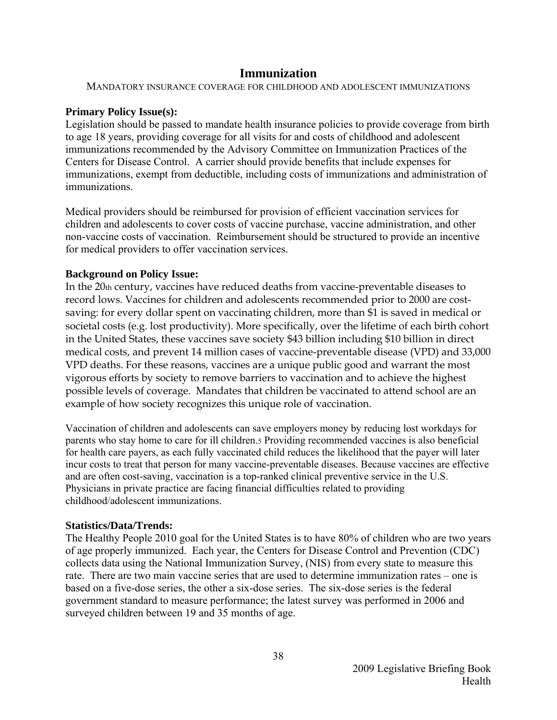#### **Immunization**

<span id="page-39-0"></span>MANDATORY INSURANCE COVERAGE FOR CHILDHOOD AND ADOLESCENT IMMUNIZATIONS

#### **Primary Policy Issue(s):**

Legislation should be passed to mandate health insurance policies to provide coverage from birth to age 18 years, providing coverage for all visits for and costs of childhood and adolescent immunizations recommended by the Advisory Committee on Immunization Practices of the Centers for Disease Control. A carrier should provide benefits that include expenses for immunizations, exempt from deductible, including costs of immunizations and administration of immunizations.

Medical providers should be reimbursed for provision of efficient vaccination services for children and adolescents to cover costs of vaccine purchase, vaccine administration, and other non-vaccine costs of vaccination. Reimbursement should be structured to provide an incentive for medical providers to offer vaccination services.

#### **Background on Policy Issue:**

In the 20th century, vaccines have reduced deaths from vaccine-preventable diseases to record lows. Vaccines for children and adolescents recommended prior to 2000 are costsaving: for every dollar spent on vaccinating children, more than \$1 is saved in medical or societal costs (e.g. lost productivity). More specifically, over the lifetime of each birth cohort in the United States, these vaccines save society \$43 billion including \$10 billion in direct medical costs, and prevent 14 million cases of vaccine-preventable disease (VPD) and 33,000 VPD deaths. For these reasons, vaccines are a unique public good and warrant the most vigorous efforts by society to remove barriers to vaccination and to achieve the highest possible levels of coverage. Mandates that children be vaccinated to attend school are an example of how society recognizes this unique role of vaccination.

Vaccination of children and adolescents can save employers money by reducing lost workdays for parents who stay home to care for ill children.5 Providing recommended vaccines is also beneficial for health care payers, as each fully vaccinated child reduces the likelihood that the payer will later incur costs to treat that person for many vaccine-preventable diseases. Because vaccines are effective and are often cost-saving, vaccination is a top-ranked clinical preventive service in the U.S. Physicians in private practice are facing financial difficulties related to providing childhood/adolescent immunizations.

#### **Statistics/Data/Trends:**

The Healthy People 2010 goal for the United States is to have 80% of children who are two years of age properly immunized. Each year, the Centers for Disease Control and Prevention (CDC) collects data using the National Immunization Survey, (NIS) from every state to measure this rate. There are two main vaccine series that are used to determine immunization rates – one is based on a five-dose series, the other a six-dose series. The six-dose series is the federal government standard to measure performance; the latest survey was performed in 2006 and surveyed children between 19 and 35 months of age.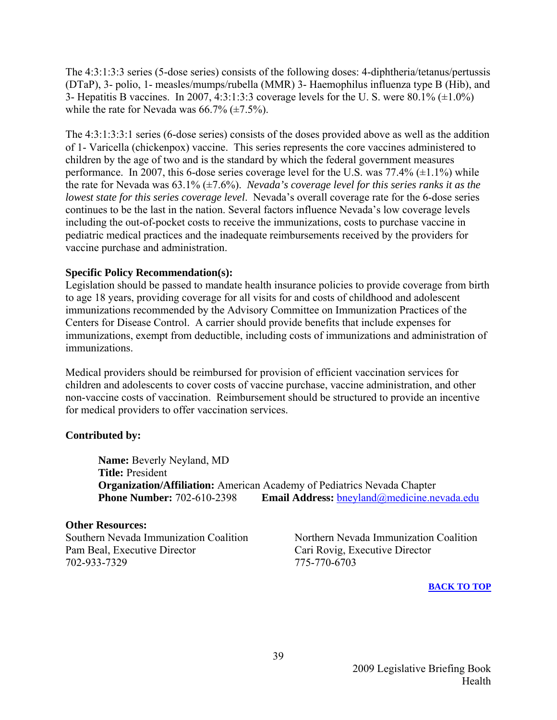The 4:3:1:3:3 series (5-dose series) consists of the following doses: 4-diphtheria/tetanus/pertussis (DTaP), 3- polio, 1- measles/mumps/rubella (MMR) 3- Haemophilus influenza type B (Hib), and 3- Hepatitis B vaccines. In 2007, 4:3:1:3:3 coverage levels for the U.S. were  $80.1\%$  ( $\pm 1.0\%$ ) while the rate for Nevada was  $66.7\%$  ( $\pm 7.5\%$ ).

The 4:3:1:3:3:1 series (6-dose series) consists of the doses provided above as well as the addition of 1- Varicella (chickenpox) vaccine. This series represents the core vaccines administered to children by the age of two and is the standard by which the federal government measures performance. In 2007, this 6-dose series coverage level for the U.S. was  $77.4\%$  ( $\pm$ 1.1%) while the rate for Nevada was 63.1% (±7.6%). *Nevada's coverage level for this series ranks it as the lowest state for this series coverage level*. Nevada's overall coverage rate for the 6-dose series continues to be the last in the nation. Several factors influence Nevada's low coverage levels including the out-of-pocket costs to receive the immunizations, costs to purchase vaccine in pediatric medical practices and the inadequate reimbursements received by the providers for vaccine purchase and administration.

#### **Specific Policy Recommendation(s):**

Legislation should be passed to mandate health insurance policies to provide coverage from birth to age 18 years, providing coverage for all visits for and costs of childhood and adolescent immunizations recommended by the Advisory Committee on Immunization Practices of the Centers for Disease Control. A carrier should provide benefits that include expenses for immunizations, exempt from deductible, including costs of immunizations and administration of immunizations.

Medical providers should be reimbursed for provision of efficient vaccination services for children and adolescents to cover costs of vaccine purchase, vaccine administration, and other non-vaccine costs of vaccination. Reimbursement should be structured to provide an incentive for medical providers to offer vaccination services.

#### **Contributed by:**

 **Name:** Beverly Neyland, MD  **Title:** President  **Organization/Affiliation:** American Academy of Pediatrics Nevada Chapter **Phone Number:** 702-610-2398 **Email Address:** bneyland@medicine.nevada.edu

#### **Other Resources:**

Pam Beal, Executive Director Cari Rovig, Executive Director 702-933-7329 775-770-6703

Southern Nevada Immunization Coalition Northern Nevada Immunization Coalition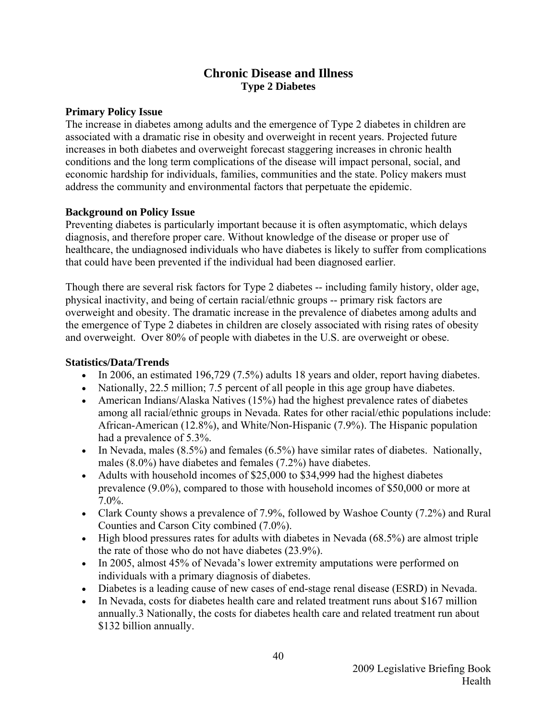#### **Chronic Disease and Illness Type 2 Diabetes**

#### <span id="page-41-0"></span>**Primary Policy Issue**

The increase in diabetes among adults and the emergence of Type 2 diabetes in children are associated with a dramatic rise in obesity and overweight in recent years. Projected future increases in both diabetes and overweight forecast staggering increases in chronic health conditions and the long term complications of the disease will impact personal, social, and economic hardship for individuals, families, communities and the state. Policy makers must address the community and environmental factors that perpetuate the epidemic.

#### **Background on Policy Issue**

Preventing diabetes is particularly important because it is often asymptomatic, which delays diagnosis, and therefore proper care. Without knowledge of the disease or proper use of healthcare, the undiagnosed individuals who have diabetes is likely to suffer from complications that could have been prevented if the individual had been diagnosed earlier.

Though there are several risk factors for Type 2 diabetes -- including family history, older age, physical inactivity, and being of certain racial/ethnic groups -- primary risk factors are overweight and obesity. The dramatic increase in the prevalence of diabetes among adults and the emergence of Type 2 diabetes in children are closely associated with rising rates of obesity and overweight. Over 80% of people with diabetes in the U.S. are overweight or obese.

#### **Statistics/Data/Trends**

- In 2006, an estimated 196,729 (7.5%) adults 18 years and older, report having diabetes.
- Nationally, 22.5 million; 7.5 percent of all people in this age group have diabetes.
- American Indians/Alaska Natives (15%) had the highest prevalence rates of diabetes among all racial/ethnic groups in Nevada. Rates for other racial/ethic populations include: African-American (12.8%), and White/Non-Hispanic (7.9%). The Hispanic population had a prevalence of 5.3%.
- In Nevada, males  $(8.5\%)$  and females  $(6.5\%)$  have similar rates of diabetes. Nationally, males (8.0%) have diabetes and females (7.2%) have diabetes.
- Adults with household incomes of \$25,000 to \$34,999 had the highest diabetes prevalence (9.0%), compared to those with household incomes of \$50,000 or more at 7.0%.
- Clark County shows a prevalence of 7.9%, followed by Washoe County (7.2%) and Rural Counties and Carson City combined (7.0%).
- High blood pressures rates for adults with diabetes in Nevada (68.5%) are almost triple the rate of those who do not have diabetes (23.9%).
- In 2005, almost 45% of Nevada's lower extremity amputations were performed on individuals with a primary diagnosis of diabetes.
- Diabetes is a leading cause of new cases of end-stage renal disease (ESRD) in Nevada.
- In Nevada, costs for diabetes health care and related treatment runs about \$167 million annually.3 Nationally, the costs for diabetes health care and related treatment run about \$132 billion annually.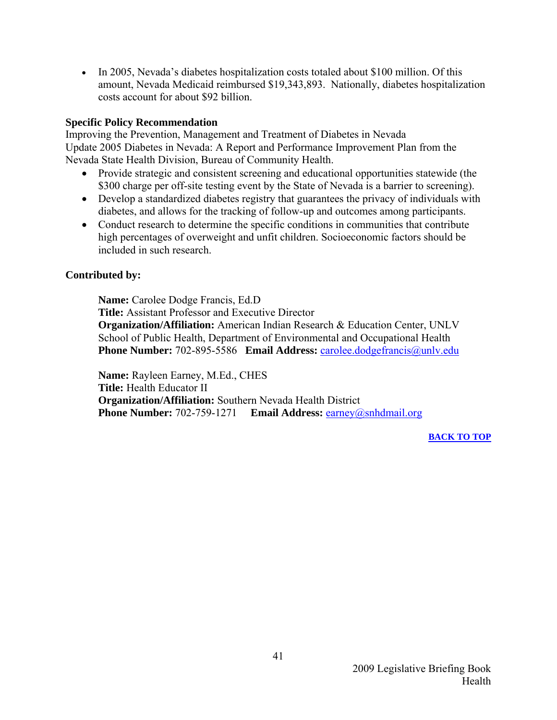• In 2005, Nevada's diabetes hospitalization costs totaled about \$100 million. Of this amount, Nevada Medicaid reimbursed \$19,343,893. Nationally, diabetes hospitalization costs account for about \$92 billion.

#### **Specific Policy Recommendation**

Improving the Prevention, Management and Treatment of Diabetes in Nevada Update 2005 Diabetes in Nevada: A Report and Performance Improvement Plan from the Nevada State Health Division, Bureau of Community Health.

- Provide strategic and consistent screening and educational opportunities statewide (the \$300 charge per off-site testing event by the State of Nevada is a barrier to screening).
- Develop a standardized diabetes registry that guarantees the privacy of individuals with diabetes, and allows for the tracking of follow-up and outcomes among participants.
- Conduct research to determine the specific conditions in communities that contribute high percentages of overweight and unfit children. Socioeconomic factors should be included in such research.

#### **Contributed by:**

**Name:** Carolee Dodge Francis, Ed.D  **Title:** Assistant Professor and Executive Director  **Organization/Affiliation:** American Indian Research & Education Center, UNLV School of Public Health, Department of Environmental and Occupational Health **Phone Number:** 702-895-5586 **Email Address:** [carolee.dodgefrancis@unlv.edu](mailto:carolee.dodgefrancis@unlv.edu) 

 **Name:** Rayleen Earney, M.Ed., CHES  **Title:** Health Educator II  **Organization/Affiliation:** Southern Nevada Health District  **Phone Number:** 702-759-1271 **Email Address:** [earney@snhdmail.org](mailto:earney@snhdmail.org)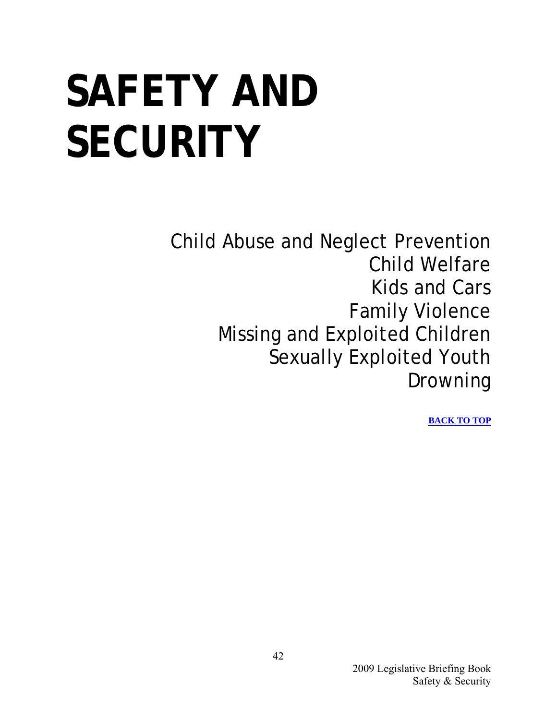## <span id="page-43-0"></span>**SAFETY AND SECURITY**

Child Abuse and Neglect Prevention Child Welfare Kids and Cars Family Violence Missing and Exploited Children Sexually Exploited Youth Drowning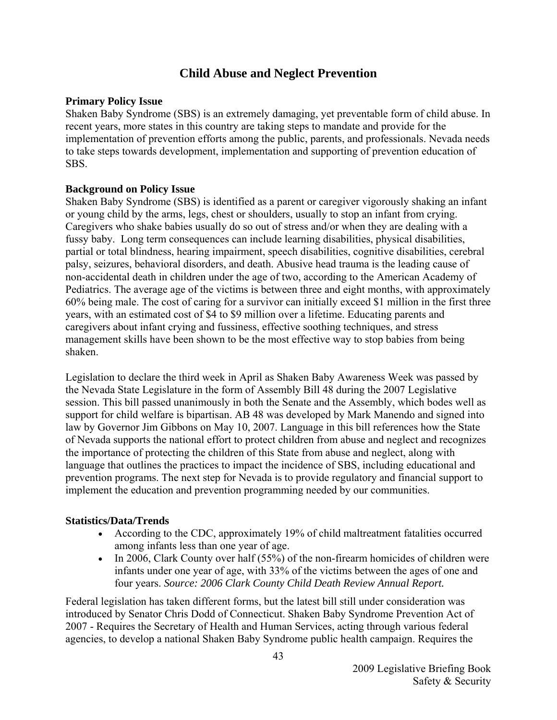#### **Child Abuse and Neglect Prevention**

#### <span id="page-44-0"></span>**Primary Policy Issue**

Shaken Baby Syndrome (SBS) is an extremely damaging, yet preventable form of child abuse. In recent years, more states in this country are taking steps to mandate and provide for the implementation of prevention efforts among the public, parents, and professionals. Nevada needs to take steps towards development, implementation and supporting of prevention education of SBS.

#### **Background on Policy Issue**

Shaken Baby Syndrome (SBS) is identified as a parent or caregiver vigorously shaking an infant or young child by the arms, legs, chest or shoulders, usually to stop an infant from crying. Caregivers who shake babies usually do so out of stress and/or when they are dealing with a fussy baby. Long term consequences can include learning disabilities, physical disabilities, partial or total blindness, hearing impairment, speech disabilities, cognitive disabilities, cerebral palsy, seizures, behavioral disorders, and death. Abusive head trauma is the leading cause of non-accidental death in children under the age of two, according to the American Academy of Pediatrics. The average age of the victims is between three and eight months, with approximately 60% being male. The cost of caring for a survivor can initially exceed \$1 million in the first three years, with an estimated cost of \$4 to \$9 million over a lifetime. Educating parents and caregivers about infant crying and fussiness, effective soothing techniques, and stress management skills have been shown to be the most effective way to stop babies from being shaken.

Legislation to declare the third week in April as Shaken Baby Awareness Week was passed by the Nevada State Legislature in the form of Assembly Bill 48 during the 2007 Legislative session. This bill passed unanimously in both the Senate and the Assembly, which bodes well as support for child welfare is bipartisan. AB 48 was developed by Mark Manendo and signed into law by Governor Jim Gibbons on May 10, 2007. Language in this bill references how the State of Nevada supports the national effort to protect children from abuse and neglect and recognizes the importance of protecting the children of this State from abuse and neglect, along with language that outlines the practices to impact the incidence of SBS, including educational and prevention programs. The next step for Nevada is to provide regulatory and financial support to implement the education and prevention programming needed by our communities.

#### **Statistics/Data/Trends**

- According to the CDC, approximately 19% of child maltreatment fatalities occurred among infants less than one year of age.
- In 2006, Clark County over half (55%) of the non-firearm homicides of children were infants under one year of age, with 33% of the victims between the ages of one and four years. *Source: 2006 Clark County Child Death Review Annual Report.*

Federal legislation has taken different forms, but the latest bill still under consideration was introduced by Senator Chris Dodd of Connecticut. Shaken Baby Syndrome Prevention Act of 2007 - Requires the Secretary of Health and Human Services, acting through various federal agencies, to develop a national Shaken Baby Syndrome public health campaign. Requires the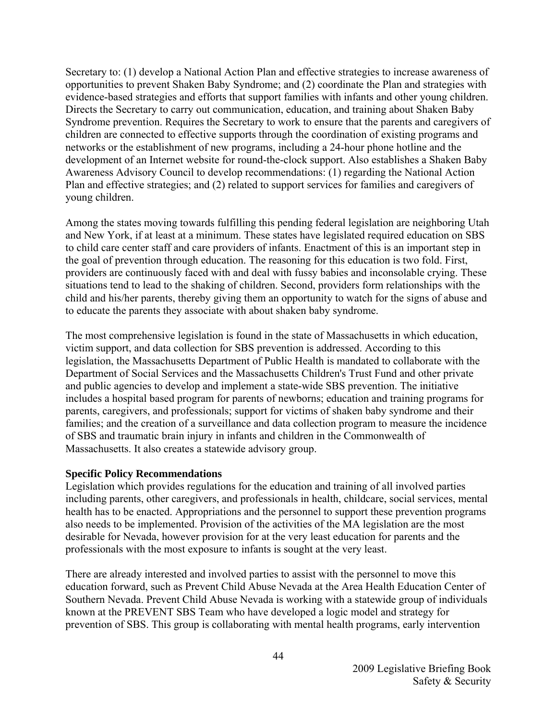Secretary to: (1) develop a National Action Plan and effective strategies to increase awareness of opportunities to prevent Shaken Baby Syndrome; and (2) coordinate the Plan and strategies with evidence-based strategies and efforts that support families with infants and other young children. Directs the Secretary to carry out communication, education, and training about Shaken Baby Syndrome prevention. Requires the Secretary to work to ensure that the parents and caregivers of children are connected to effective supports through the coordination of existing programs and networks or the establishment of new programs, including a 24-hour phone hotline and the development of an Internet website for round-the-clock support. Also establishes a Shaken Baby Awareness Advisory Council to develop recommendations: (1) regarding the National Action Plan and effective strategies; and (2) related to support services for families and caregivers of young children.

Among the states moving towards fulfilling this pending federal legislation are neighboring Utah and New York, if at least at a minimum. These states have legislated required education on SBS to child care center staff and care providers of infants. Enactment of this is an important step in the goal of prevention through education. The reasoning for this education is two fold. First, providers are continuously faced with and deal with fussy babies and inconsolable crying. These situations tend to lead to the shaking of children. Second, providers form relationships with the child and his/her parents, thereby giving them an opportunity to watch for the signs of abuse and to educate the parents they associate with about shaken baby syndrome.

The most comprehensive legislation is found in the state of Massachusetts in which education, victim support, and data collection for SBS prevention is addressed. According to this legislation, the Massachusetts Department of Public Health is mandated to collaborate with the Department of Social Services and the Massachusetts Children's Trust Fund and other private and public agencies to develop and implement a state-wide SBS prevention. The initiative includes a hospital based program for parents of newborns; education and training programs for parents, caregivers, and professionals; support for victims of shaken baby syndrome and their families; and the creation of a surveillance and data collection program to measure the incidence of SBS and traumatic brain injury in infants and children in the Commonwealth of Massachusetts. It also creates a statewide advisory group.

#### **Specific Policy Recommendations**

Legislation which provides regulations for the education and training of all involved parties including parents, other caregivers, and professionals in health, childcare, social services, mental health has to be enacted. Appropriations and the personnel to support these prevention programs also needs to be implemented. Provision of the activities of the MA legislation are the most desirable for Nevada, however provision for at the very least education for parents and the professionals with the most exposure to infants is sought at the very least.

There are already interested and involved parties to assist with the personnel to move this education forward, such as Prevent Child Abuse Nevada at the Area Health Education Center of Southern Nevada. Prevent Child Abuse Nevada is working with a statewide group of individuals known at the PREVENT SBS Team who have developed a logic model and strategy for prevention of SBS. This group is collaborating with mental health programs, early intervention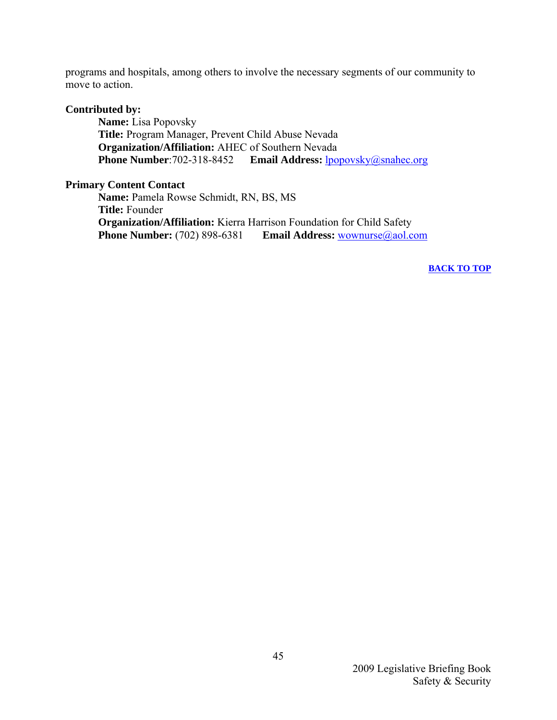programs and hospitals, among others to involve the necessary segments of our community to move to action.

#### **Contributed by:**

**Name:** Lisa Popovsky **Title:** Program Manager, Prevent Child Abuse Nevada **Organization/Affiliation:** AHEC of Southern Nevada **Phone Number:**702-318-8452 **Email Address:** [lpopovsky@snahec.org](mailto:lpopovsky@snahec.org)

#### **Primary Content Contact**

**Name:** Pamela Rowse Schmidt, RN, BS, MS **Title:** Founder **Organization/Affiliation:** Kierra Harrison Foundation for Child Safety **Phone Number:** (702) 898-6381 **Email Address:** [wownurse@aol.com](mailto:wownurse@aol.com)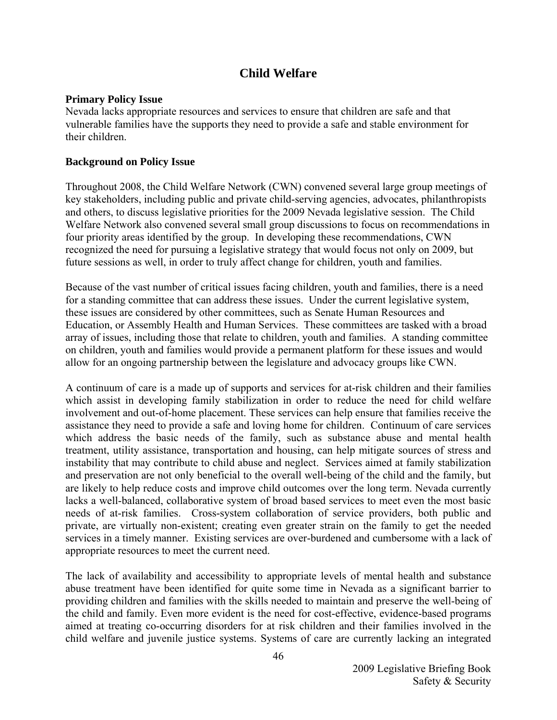#### **Child Welfare**

#### <span id="page-47-0"></span>**Primary Policy Issue**

Nevada lacks appropriate resources and services to ensure that children are safe and that vulnerable families have the supports they need to provide a safe and stable environment for their children.

#### **Background on Policy Issue**

Throughout 2008, the Child Welfare Network (CWN) convened several large group meetings of key stakeholders, including public and private child-serving agencies, advocates, philanthropists and others, to discuss legislative priorities for the 2009 Nevada legislative session. The Child Welfare Network also convened several small group discussions to focus on recommendations in four priority areas identified by the group. In developing these recommendations, CWN recognized the need for pursuing a legislative strategy that would focus not only on 2009, but future sessions as well, in order to truly affect change for children, youth and families.

Because of the vast number of critical issues facing children, youth and families, there is a need for a standing committee that can address these issues. Under the current legislative system, these issues are considered by other committees, such as Senate Human Resources and Education, or Assembly Health and Human Services. These committees are tasked with a broad array of issues, including those that relate to children, youth and families. A standing committee on children, youth and families would provide a permanent platform for these issues and would allow for an ongoing partnership between the legislature and advocacy groups like CWN.

A continuum of care is a made up of supports and services for at-risk children and their families which assist in developing family stabilization in order to reduce the need for child welfare involvement and out-of-home placement. These services can help ensure that families receive the assistance they need to provide a safe and loving home for children. Continuum of care services which address the basic needs of the family, such as substance abuse and mental health treatment, utility assistance, transportation and housing, can help mitigate sources of stress and instability that may contribute to child abuse and neglect. Services aimed at family stabilization and preservation are not only beneficial to the overall well-being of the child and the family, but are likely to help reduce costs and improve child outcomes over the long term. Nevada currently lacks a well-balanced, collaborative system of broad based services to meet even the most basic needs of at-risk families. Cross-system collaboration of service providers, both public and private, are virtually non-existent; creating even greater strain on the family to get the needed services in a timely manner. Existing services are over-burdened and cumbersome with a lack of appropriate resources to meet the current need.

The lack of availability and accessibility to appropriate levels of mental health and substance abuse treatment have been identified for quite some time in Nevada as a significant barrier to providing children and families with the skills needed to maintain and preserve the well-being of the child and family. Even more evident is the need for cost-effective, evidence-based programs aimed at treating co-occurring disorders for at risk children and their families involved in the child welfare and juvenile justice systems. Systems of care are currently lacking an integrated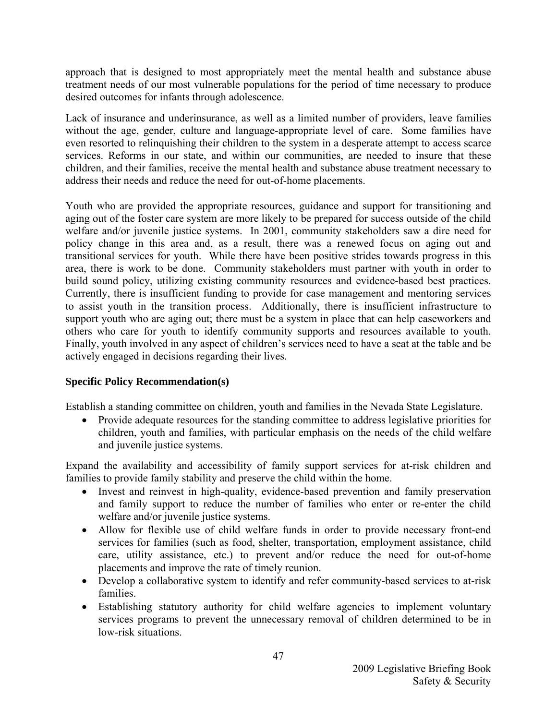approach that is designed to most appropriately meet the mental health and substance abuse treatment needs of our most vulnerable populations for the period of time necessary to produce desired outcomes for infants through adolescence.

Lack of insurance and underinsurance, as well as a limited number of providers, leave families without the age, gender, culture and language-appropriate level of care. Some families have even resorted to relinquishing their children to the system in a desperate attempt to access scarce services. Reforms in our state, and within our communities, are needed to insure that these children, and their families, receive the mental health and substance abuse treatment necessary to address their needs and reduce the need for out-of-home placements.

Youth who are provided the appropriate resources, guidance and support for transitioning and aging out of the foster care system are more likely to be prepared for success outside of the child welfare and/or juvenile justice systems. In 2001, community stakeholders saw a dire need for policy change in this area and, as a result, there was a renewed focus on aging out and transitional services for youth. While there have been positive strides towards progress in this area, there is work to be done. Community stakeholders must partner with youth in order to build sound policy, utilizing existing community resources and evidence-based best practices. Currently, there is insufficient funding to provide for case management and mentoring services to assist youth in the transition process. Additionally, there is insufficient infrastructure to support youth who are aging out; there must be a system in place that can help caseworkers and others who care for youth to identify community supports and resources available to youth. Finally, youth involved in any aspect of children's services need to have a seat at the table and be actively engaged in decisions regarding their lives.

#### **Specific Policy Recommendation(s)**

Establish a standing committee on children, youth and families in the Nevada State Legislature.

• Provide adequate resources for the standing committee to address legislative priorities for children, youth and families, with particular emphasis on the needs of the child welfare and juvenile justice systems.

Expand the availability and accessibility of family support services for at-risk children and families to provide family stability and preserve the child within the home.

- Invest and reinvest in high-quality, evidence-based prevention and family preservation and family support to reduce the number of families who enter or re-enter the child welfare and/or juvenile justice systems.
- Allow for flexible use of child welfare funds in order to provide necessary front-end services for families (such as food, shelter, transportation, employment assistance, child care, utility assistance, etc.) to prevent and/or reduce the need for out-of-home placements and improve the rate of timely reunion.
- Develop a collaborative system to identify and refer community-based services to at-risk families.
- Establishing statutory authority for child welfare agencies to implement voluntary services programs to prevent the unnecessary removal of children determined to be in low-risk situations.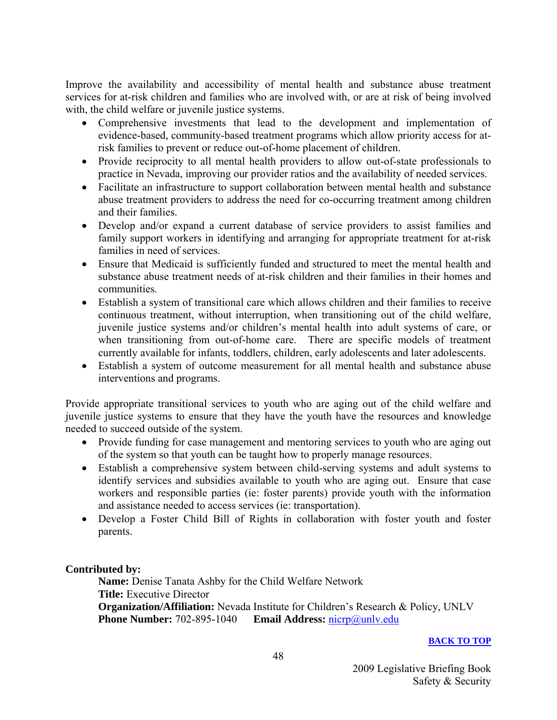Improve the availability and accessibility of mental health and substance abuse treatment services for at-risk children and families who are involved with, or are at risk of being involved with, the child welfare or juvenile justice systems.

- Comprehensive investments that lead to the development and implementation of evidence-based, community-based treatment programs which allow priority access for atrisk families to prevent or reduce out-of-home placement of children.
- Provide reciprocity to all mental health providers to allow out-of-state professionals to practice in Nevada, improving our provider ratios and the availability of needed services.
- Facilitate an infrastructure to support collaboration between mental health and substance abuse treatment providers to address the need for co-occurring treatment among children and their families.
- Develop and/or expand a current database of service providers to assist families and family support workers in identifying and arranging for appropriate treatment for at-risk families in need of services.
- Ensure that Medicaid is sufficiently funded and structured to meet the mental health and substance abuse treatment needs of at-risk children and their families in their homes and communities.
- Establish a system of transitional care which allows children and their families to receive continuous treatment, without interruption, when transitioning out of the child welfare, juvenile justice systems and/or children's mental health into adult systems of care, or when transitioning from out-of-home care. There are specific models of treatment currently available for infants, toddlers, children, early adolescents and later adolescents.
- Establish a system of outcome measurement for all mental health and substance abuse interventions and programs.

Provide appropriate transitional services to youth who are aging out of the child welfare and juvenile justice systems to ensure that they have the youth have the resources and knowledge needed to succeed outside of the system.

- Provide funding for case management and mentoring services to youth who are aging out of the system so that youth can be taught how to properly manage resources.
- Establish a comprehensive system between child-serving systems and adult systems to identify services and subsidies available to youth who are aging out. Ensure that case workers and responsible parties (ie: foster parents) provide youth with the information and assistance needed to access services (ie: transportation).
- Develop a Foster Child Bill of Rights in collaboration with foster youth and foster parents.

#### **Contributed by:**

 **Name:** Denise Tanata Ashby for the Child Welfare Network  **Title:** Executive Director  **Organization/Affiliation:** Nevada Institute for Children's Research & Policy, UNLV  **Phone Number:** 702-895-1040 **Email Address:** [nicrp@unlv.edu](mailto:nicrp@unlv.edu)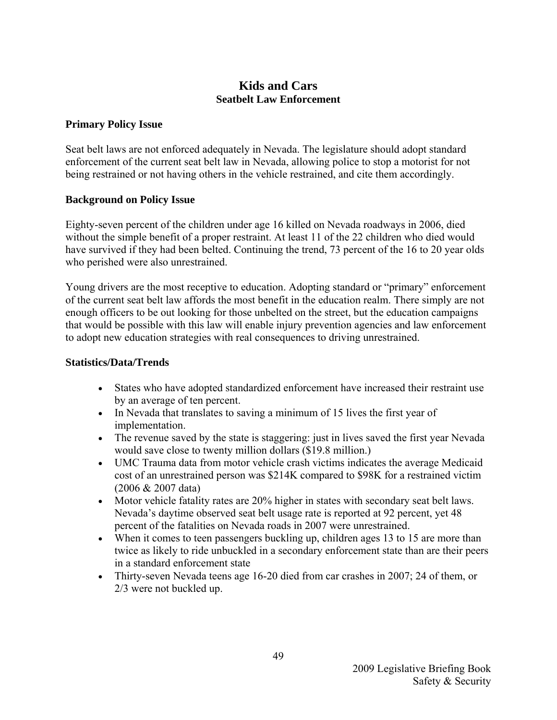#### **Kids and Cars Seatbelt Law Enforcement**

#### <span id="page-50-0"></span>**Primary Policy Issue**

Seat belt laws are not enforced adequately in Nevada. The legislature should adopt standard enforcement of the current seat belt law in Nevada, allowing police to stop a motorist for not being restrained or not having others in the vehicle restrained, and cite them accordingly.

#### **Background on Policy Issue**

Eighty-seven percent of the children under age 16 killed on Nevada roadways in 2006, died without the simple benefit of a proper restraint. At least 11 of the 22 children who died would have survived if they had been belted. Continuing the trend, 73 percent of the 16 to 20 year olds who perished were also unrestrained.

Young drivers are the most receptive to education. Adopting standard or "primary" enforcement of the current seat belt law affords the most benefit in the education realm. There simply are not enough officers to be out looking for those unbelted on the street, but the education campaigns that would be possible with this law will enable injury prevention agencies and law enforcement to adopt new education strategies with real consequences to driving unrestrained.

#### **Statistics/Data/Trends**

- States who have adopted standardized enforcement have increased their restraint use by an average of ten percent.
- In Nevada that translates to saving a minimum of 15 lives the first year of implementation.
- The revenue saved by the state is staggering: just in lives saved the first year Nevada would save close to twenty million dollars (\$19.8 million.)
- UMC Trauma data from motor vehicle crash victims indicates the average Medicaid cost of an unrestrained person was \$214K compared to \$98K for a restrained victim (2006 & 2007 data)
- Motor vehicle fatality rates are 20% higher in states with secondary seat belt laws. Nevada's daytime observed seat belt usage rate is reported at 92 percent, yet 48 percent of the fatalities on Nevada roads in 2007 were unrestrained.
- When it comes to teen passengers buckling up, children ages 13 to 15 are more than twice as likely to ride unbuckled in a secondary enforcement state than are their peers in a standard enforcement state
- Thirty-seven Nevada teens age 16-20 died from car crashes in 2007; 24 of them, or 2/3 were not buckled up.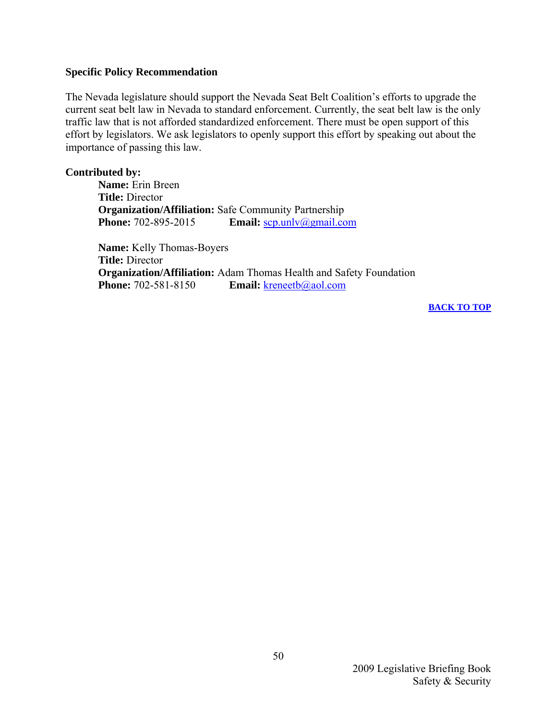#### **Specific Policy Recommendation**

The Nevada legislature should support the Nevada Seat Belt Coalition's efforts to upgrade the current seat belt law in Nevada to standard enforcement. Currently, the seat belt law is the only traffic law that is not afforded standardized enforcement. There must be open support of this effort by legislators. We ask legislators to openly support this effort by speaking out about the importance of passing this law.

#### **Contributed by:**

**Name:** Erin Breen **Title:** Director **Organization/Affiliation:** Safe Community Partnership **Phone:** 702-895-2015 **Email:**  $\frac{\text{c}{\text{c}}}{\text{c}}$ 

**Name:** Kelly Thomas-Boyers **Title:** Director **Organization/Affiliation:** Adam Thomas Health and Safety Foundation **Phone:** 702-581-8150 **Email:** [kreneetb@aol.com](mailto:kreneetb@aol.com)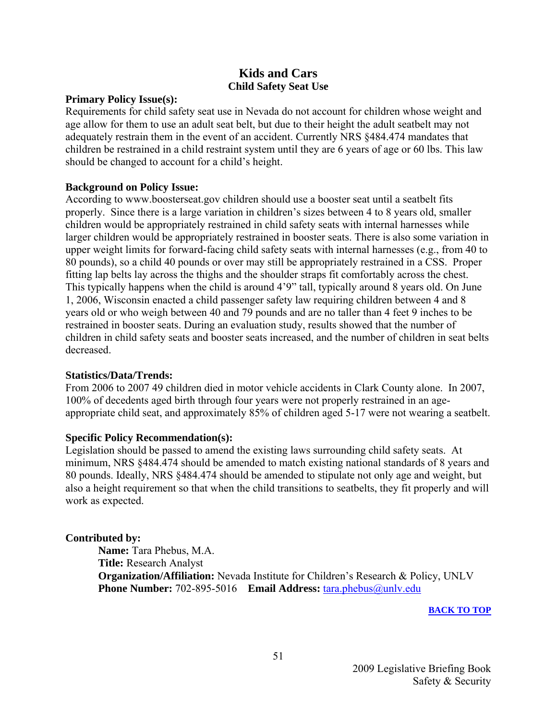#### **Kids and Cars Child Safety Seat Use**

#### <span id="page-52-0"></span>**Primary Policy Issue(s):**

Requirements for child safety seat use in Nevada do not account for children whose weight and age allow for them to use an adult seat belt, but due to their height the adult seatbelt may not adequately restrain them in the event of an accident. Currently NRS §484.474 mandates that children be restrained in a child restraint system until they are 6 years of age or 60 lbs. This law should be changed to account for a child's height.

#### **Background on Policy Issue:**

According to www.boosterseat.gov children should use a booster seat until a seatbelt fits properly. Since there is a large variation in children's sizes between 4 to 8 years old, smaller children would be appropriately restrained in child safety seats with internal harnesses while larger children would be appropriately restrained in booster seats. There is also some variation in upper weight limits for forward-facing child safety seats with internal harnesses (e.g., from 40 to 80 pounds), so a child 40 pounds or over may still be appropriately restrained in a CSS. Proper fitting lap belts lay across the thighs and the shoulder straps fit comfortably across the chest. This typically happens when the child is around 4'9" tall, typically around 8 years old. On June 1, 2006, Wisconsin enacted a child passenger safety law requiring children between 4 and 8 years old or who weigh between 40 and 79 pounds and are no taller than 4 feet 9 inches to be restrained in booster seats. During an evaluation study, results showed that the number of children in child safety seats and booster seats increased, and the number of children in seat belts decreased.

#### **Statistics/Data/Trends:**

From 2006 to 2007 49 children died in motor vehicle accidents in Clark County alone. In 2007, 100% of decedents aged birth through four years were not properly restrained in an ageappropriate child seat, and approximately 85% of children aged 5-17 were not wearing a seatbelt.

#### **Specific Policy Recommendation(s):**

Legislation should be passed to amend the existing laws surrounding child safety seats. At minimum, NRS §484.474 should be amended to match existing national standards of 8 years and 80 pounds. Ideally, NRS §484.474 should be amended to stipulate not only age and weight, but also a height requirement so that when the child transitions to seatbelts, they fit properly and will work as expected.

#### **Contributed by:**

 **Name:** Tara Phebus, M.A.  **Title:** Research Analyst  **Organization/Affiliation:** Nevada Institute for Children's Research & Policy, UNLV  **Phone Number:** 702-895-5016 **Email Address:** [tara.phebus@unlv.edu](mailto:tara.phebus@unlv.edu)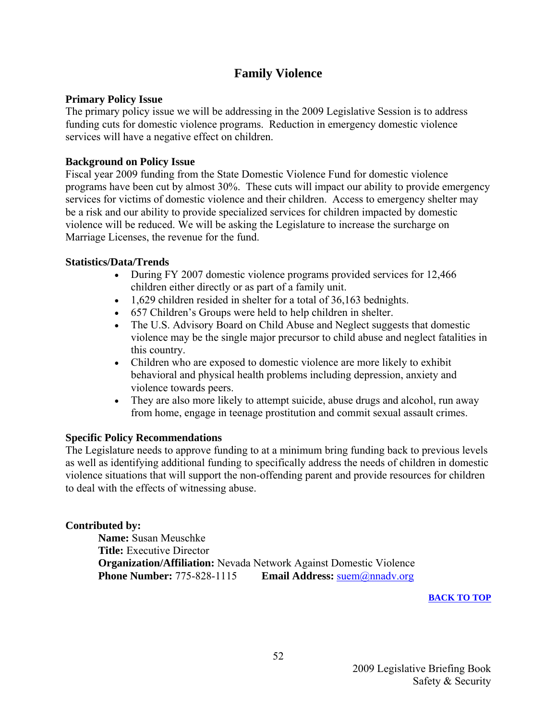#### **Family Violence**

#### <span id="page-53-0"></span>**Primary Policy Issue**

The primary policy issue we will be addressing in the 2009 Legislative Session is to address funding cuts for domestic violence programs. Reduction in emergency domestic violence services will have a negative effect on children.

#### **Background on Policy Issue**

Fiscal year 2009 funding from the State Domestic Violence Fund for domestic violence programs have been cut by almost 30%. These cuts will impact our ability to provide emergency services for victims of domestic violence and their children. Access to emergency shelter may be a risk and our ability to provide specialized services for children impacted by domestic violence will be reduced. We will be asking the Legislature to increase the surcharge on Marriage Licenses, the revenue for the fund.

#### **Statistics/Data/Trends**

- During FY 2007 domestic violence programs provided services for 12,466 children either directly or as part of a family unit.
- 1,629 children resided in shelter for a total of 36,163 bednights.
- 657 Children's Groups were held to help children in shelter.
- The U.S. Advisory Board on Child Abuse and Neglect suggests that domestic violence may be the single major precursor to child abuse and neglect fatalities in this country.
- Children who are exposed to domestic violence are more likely to exhibit behavioral and physical health problems including depression, anxiety and violence towards peers.
- They are also more likely to attempt suicide, abuse drugs and alcohol, run away from home, engage in teenage prostitution and commit sexual assault crimes.

#### **Specific Policy Recommendations**

The Legislature needs to approve funding to at a minimum bring funding back to previous levels as well as identifying additional funding to specifically address the needs of children in domestic violence situations that will support the non-offending parent and provide resources for children to deal with the effects of witnessing abuse.

#### **Contributed by:**

**Name:** Susan Meuschke **Title:** Executive Director **Organization/Affiliation:** Nevada Network Against Domestic Violence **Phone Number:** 775-828-1115 **Email Address:** [suem@nnadv.org](mailto:suem@nnadv.org)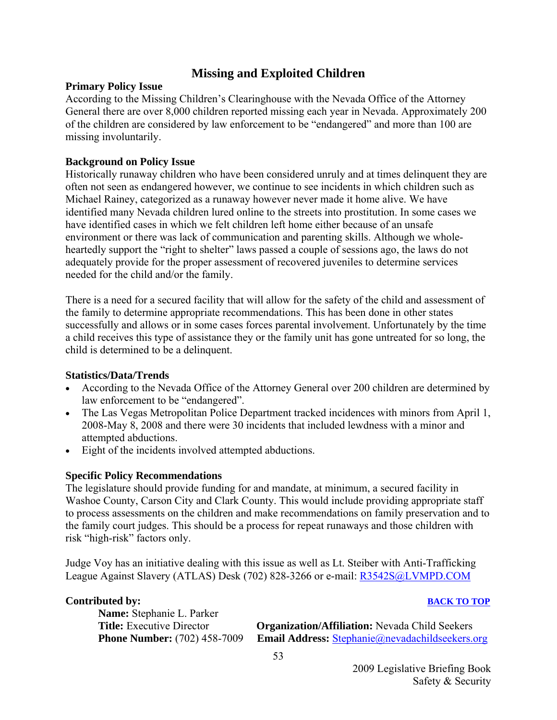#### **Missing and Exploited Children**

#### <span id="page-54-0"></span>**Primary Policy Issue**

According to the Missing Children's Clearinghouse with the Nevada Office of the Attorney General there are over 8,000 children reported missing each year in Nevada. Approximately 200 of the children are considered by law enforcement to be "endangered" and more than 100 are missing involuntarily.

#### **Background on Policy Issue**

Historically runaway children who have been considered unruly and at times delinquent they are often not seen as endangered however, we continue to see incidents in which children such as Michael Rainey, categorized as a runaway however never made it home alive. We have identified many Nevada children lured online to the streets into prostitution. In some cases we have identified cases in which we felt children left home either because of an unsafe environment or there was lack of communication and parenting skills. Although we wholeheartedly support the "right to shelter" laws passed a couple of sessions ago, the laws do not adequately provide for the proper assessment of recovered juveniles to determine services needed for the child and/or the family.

There is a need for a secured facility that will allow for the safety of the child and assessment of the family to determine appropriate recommendations. This has been done in other states successfully and allows or in some cases forces parental involvement. Unfortunately by the time a child receives this type of assistance they or the family unit has gone untreated for so long, the child is determined to be a delinquent.

#### **Statistics/Data/Trends**

- According to the Nevada Office of the Attorney General over 200 children are determined by law enforcement to be "endangered".
- The Las Vegas Metropolitan Police Department tracked incidences with minors from April 1, 2008-May 8, 2008 and there were 30 incidents that included lewdness with a minor and attempted abductions.
- Eight of the incidents involved attempted abductions.

#### **Specific Policy Recommendations**

The legislature should provide funding for and mandate, at minimum, a secured facility in Washoe County, Carson City and Clark County. This would include providing appropriate staff to process assessments on the children and make recommendations on family preservation and to the family court judges. This should be a process for repeat runaways and those children with risk "high-risk" factors only.

Judge Voy has an initiative dealing with this issue as well as Lt. Steiber with Anti-Trafficking League Against Slavery (ATLAS) Desk (702) 828-3266 or e-mail: [R3542S@LVMPD.COM](mailto:R3542S@LVMPD.COM) 

#### **[BACK TO TOP](#page-4-0)**

**Name:** Stephanie L. Parker

**Organization/Affiliation:** Nevada Child Seekers **Phone Number:** (702) 458-7009 **Email Address:** [Stephanie@nevadachildseekers.org](mailto:Stephanie@nevadachildseekers.org)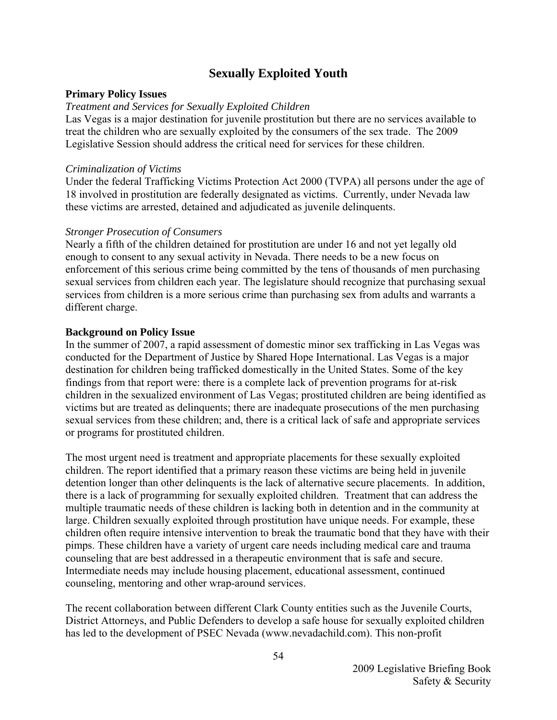#### **Sexually Exploited Youth**

#### <span id="page-55-0"></span>**Primary Policy Issues**

#### *Treatment and Services for Sexually Exploited Children*

Las Vegas is a major destination for juvenile prostitution but there are no services available to treat the children who are sexually exploited by the consumers of the sex trade. The 2009 Legislative Session should address the critical need for services for these children.

#### *Criminalization of Victims*

Under the federal Trafficking Victims Protection Act 2000 (TVPA) all persons under the age of 18 involved in prostitution are federally designated as victims. Currently, under Nevada law these victims are arrested, detained and adjudicated as juvenile delinquents.

#### *Stronger Prosecution of Consumers*

Nearly a fifth of the children detained for prostitution are under 16 and not yet legally old enough to consent to any sexual activity in Nevada. There needs to be a new focus on enforcement of this serious crime being committed by the tens of thousands of men purchasing sexual services from children each year. The legislature should recognize that purchasing sexual services from children is a more serious crime than purchasing sex from adults and warrants a different charge.

#### **Background on Policy Issue**

In the summer of 2007, a rapid assessment of domestic minor sex trafficking in Las Vegas was conducted for the Department of Justice by Shared Hope International. Las Vegas is a major destination for children being trafficked domestically in the United States. Some of the key findings from that report were: there is a complete lack of prevention programs for at-risk children in the sexualized environment of Las Vegas; prostituted children are being identified as victims but are treated as delinquents; there are inadequate prosecutions of the men purchasing sexual services from these children; and, there is a critical lack of safe and appropriate services or programs for prostituted children.

The most urgent need is treatment and appropriate placements for these sexually exploited children. The report identified that a primary reason these victims are being held in juvenile detention longer than other delinquents is the lack of alternative secure placements. In addition, there is a lack of programming for sexually exploited children. Treatment that can address the multiple traumatic needs of these children is lacking both in detention and in the community at large. Children sexually exploited through prostitution have unique needs. For example, these children often require intensive intervention to break the traumatic bond that they have with their pimps. These children have a variety of urgent care needs including medical care and trauma counseling that are best addressed in a therapeutic environment that is safe and secure. Intermediate needs may include housing placement, educational assessment, continued counseling, mentoring and other wrap-around services.

The recent collaboration between different Clark County entities such as the Juvenile Courts, District Attorneys, and Public Defenders to develop a safe house for sexually exploited children has led to the development of PSEC Nevada (www.nevadachild.com). This non-profit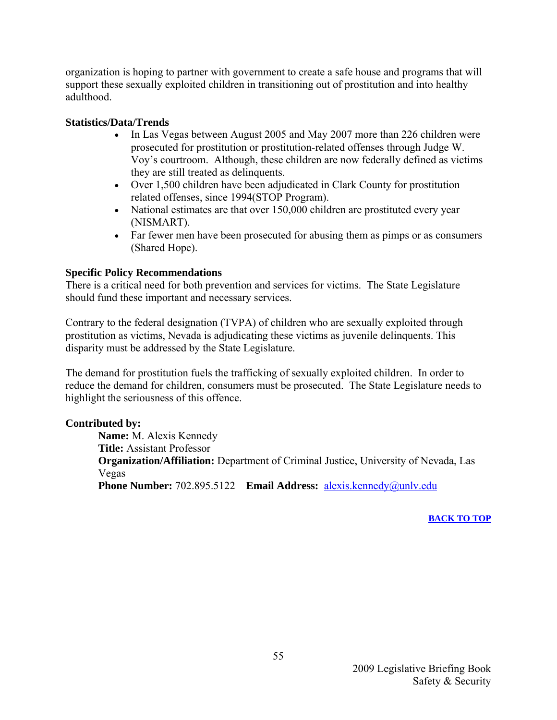organization is hoping to partner with government to create a safe house and programs that will support these sexually exploited children in transitioning out of prostitution and into healthy adulthood.

#### **Statistics/Data/Trends**

- In Las Vegas between August 2005 and May 2007 more than 226 children were prosecuted for prostitution or prostitution-related offenses through Judge W. Voy's courtroom. Although, these children are now federally defined as victims they are still treated as delinquents.
- Over 1,500 children have been adjudicated in Clark County for prostitution related offenses, since 1994(STOP Program).
- National estimates are that over 150,000 children are prostituted every year (NISMART).
- Far fewer men have been prosecuted for abusing them as pimps or as consumers (Shared Hope).

#### **Specific Policy Recommendations**

There is a critical need for both prevention and services for victims. The State Legislature should fund these important and necessary services.

Contrary to the federal designation (TVPA) of children who are sexually exploited through prostitution as victims, Nevada is adjudicating these victims as juvenile delinquents. This disparity must be addressed by the State Legislature.

The demand for prostitution fuels the trafficking of sexually exploited children. In order to reduce the demand for children, consumers must be prosecuted. The State Legislature needs to highlight the seriousness of this offence.

#### **Contributed by:**

 **Name:** M. Alexis Kennedy  **Title:** Assistant Professor **Organization/Affiliation:** Department of Criminal Justice, University of Nevada, Las Vegas  **Phone Number:** 702.895.5122 **Email Address:** [alexis.kennedy@unlv.edu](mailto:alexis.kennedy@unlv.edu)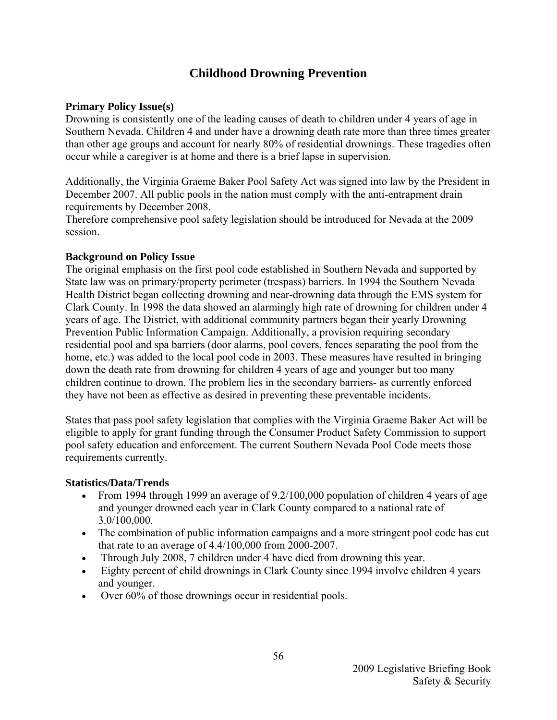#### **Childhood Drowning Prevention**

#### <span id="page-57-0"></span>**Primary Policy Issue(s)**

Drowning is consistently one of the leading causes of death to children under 4 years of age in Southern Nevada. Children 4 and under have a drowning death rate more than three times greater than other age groups and account for nearly 80% of residential drownings. These tragedies often occur while a caregiver is at home and there is a brief lapse in supervision.

Additionally, the Virginia Graeme Baker Pool Safety Act was signed into law by the President in December 2007. All public pools in the nation must comply with the anti-entrapment drain requirements by December 2008.

Therefore comprehensive pool safety legislation should be introduced for Nevada at the 2009 session.

#### **Background on Policy Issue**

The original emphasis on the first pool code established in Southern Nevada and supported by State law was on primary/property perimeter (trespass) barriers. In 1994 the Southern Nevada Health District began collecting drowning and near-drowning data through the EMS system for Clark County. In 1998 the data showed an alarmingly high rate of drowning for children under 4 years of age. The District, with additional community partners began their yearly Drowning Prevention Public Information Campaign. Additionally, a provision requiring secondary residential pool and spa barriers (door alarms, pool covers, fences separating the pool from the home, etc.) was added to the local pool code in 2003. These measures have resulted in bringing down the death rate from drowning for children 4 years of age and younger but too many children continue to drown. The problem lies in the secondary barriers- as currently enforced they have not been as effective as desired in preventing these preventable incidents.

States that pass pool safety legislation that complies with the Virginia Graeme Baker Act will be eligible to apply for grant funding through the Consumer Product Safety Commission to support pool safety education and enforcement. The current Southern Nevada Pool Code meets those requirements currently.

#### **Statistics/Data/Trends**

- From 1994 through 1999 an average of 9.2/100,000 population of children 4 years of age and younger drowned each year in Clark County compared to a national rate of 3.0/100,000.
- The combination of public information campaigns and a more stringent pool code has cut that rate to an average of 4.4/100,000 from 2000-2007.
- Through July 2008, 7 children under 4 have died from drowning this year.
- Eighty percent of child drownings in Clark County since 1994 involve children 4 years and younger.
- Over 60% of those drownings occur in residential pools.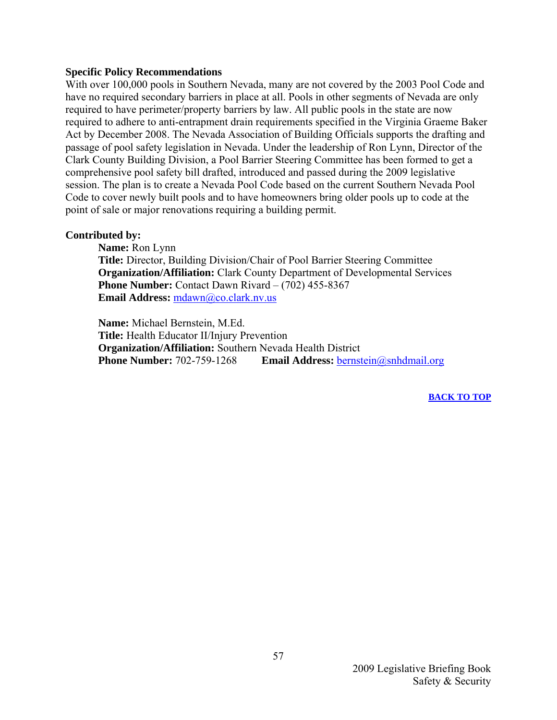#### **Specific Policy Recommendations**

With over 100,000 pools in Southern Nevada, many are not covered by the 2003 Pool Code and have no required secondary barriers in place at all. Pools in other segments of Nevada are only required to have perimeter/property barriers by law. All public pools in the state are now required to adhere to anti-entrapment drain requirements specified in the Virginia Graeme Baker Act by December 2008. The Nevada Association of Building Officials supports the drafting and passage of pool safety legislation in Nevada. Under the leadership of Ron Lynn, Director of the Clark County Building Division, a Pool Barrier Steering Committee has been formed to get a comprehensive pool safety bill drafted, introduced and passed during the 2009 legislative session. The plan is to create a Nevada Pool Code based on the current Southern Nevada Pool Code to cover newly built pools and to have homeowners bring older pools up to code at the point of sale or major renovations requiring a building permit.

#### **Contributed by:**

 **Name:** Ron Lynn  **Title:** Director, Building Division/Chair of Pool Barrier Steering Committee  **Organization/Affiliation:** Clark County Department of Developmental Services **Phone Number:** Contact Dawn Rivard – (702) 455-8367 Email Address: [mdawn@co.clark.nv.us](mailto:mdawn@co.clark.nv.us)

 **Name:** Michael Bernstein, M.Ed.  **Title:** Health Educator II/Injury Prevention  **Organization/Affiliation:** Southern Nevada Health District **Phone Number:** 702-759-1268 Email Address: [bernstein@snhdmail.org](mailto:bernstein@snhdmail.org)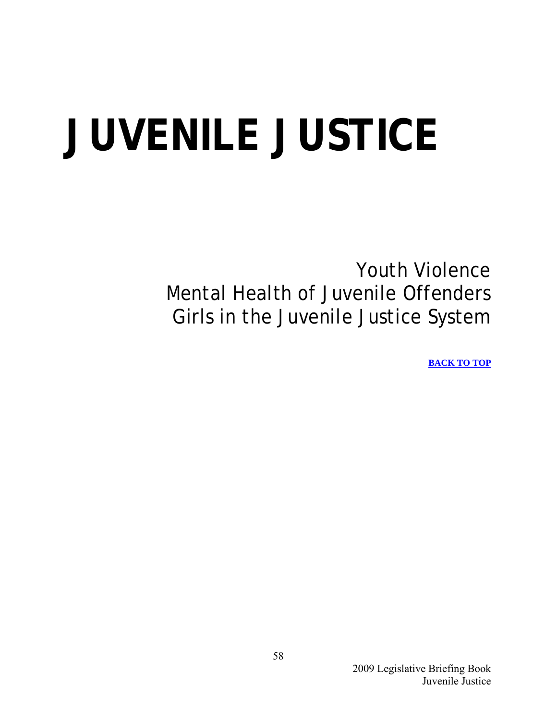# <span id="page-59-0"></span>**JUVENILE JUSTICE**

Youth Violence Mental Health of Juvenile Offenders Girls in the Juvenile Justice System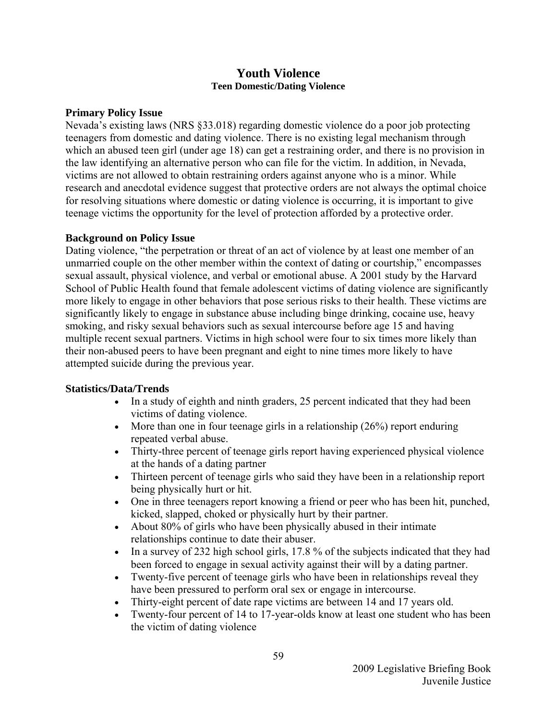#### **Youth Violence Teen Domestic/Dating Violence**

#### <span id="page-60-0"></span>**Primary Policy Issue**

Nevada's existing laws (NRS §33.018) regarding domestic violence do a poor job protecting teenagers from domestic and dating violence. There is no existing legal mechanism through which an abused teen girl (under age 18) can get a restraining order, and there is no provision in the law identifying an alternative person who can file for the victim. In addition, in Nevada, victims are not allowed to obtain restraining orders against anyone who is a minor. While research and anecdotal evidence suggest that protective orders are not always the optimal choice for resolving situations where domestic or dating violence is occurring, it is important to give teenage victims the opportunity for the level of protection afforded by a protective order.

#### **Background on Policy Issue**

Dating violence, "the perpetration or threat of an act of violence by at least one member of an unmarried couple on the other member within the context of dating or courtship," encompasses sexual assault, physical violence, and verbal or emotional abuse. A 2001 study by the Harvard School of Public Health found that female adolescent victims of dating violence are significantly more likely to engage in other behaviors that pose serious risks to their health. These victims are significantly likely to engage in substance abuse including binge drinking, cocaine use, heavy smoking, and risky sexual behaviors such as sexual intercourse before age 15 and having multiple recent sexual partners. Victims in high school were four to six times more likely than their non-abused peers to have been pregnant and eight to nine times more likely to have attempted suicide during the previous year.

#### **Statistics/Data/Trends**

- In a study of eighth and ninth graders, 25 percent indicated that they had been victims of dating violence.
- More than one in four teenage girls in a relationship  $(26\%)$  report enduring repeated verbal abuse.
- Thirty-three percent of teenage girls report having experienced physical violence at the hands of a dating partner
- Thirteen percent of teenage girls who said they have been in a relationship report being physically hurt or hit.
- One in three teenagers report knowing a friend or peer who has been hit, punched, kicked, slapped, choked or physically hurt by their partner.
- About 80% of girls who have been physically abused in their intimate relationships continue to date their abuser.
- In a survey of 232 high school girls, 17.8 % of the subjects indicated that they had been forced to engage in sexual activity against their will by a dating partner.
- Twenty-five percent of teenage girls who have been in relationships reveal they have been pressured to perform oral sex or engage in intercourse.
- Thirty-eight percent of date rape victims are between 14 and 17 years old.
- Twenty-four percent of 14 to 17-year-olds know at least one student who has been the victim of dating violence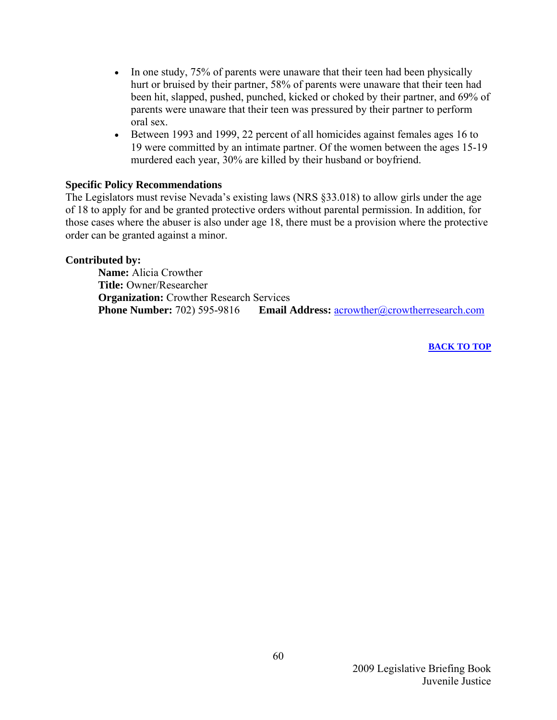- In one study, 75% of parents were unaware that their teen had been physically hurt or bruised by their partner, 58% of parents were unaware that their teen had been hit, slapped, pushed, punched, kicked or choked by their partner, and 69% of parents were unaware that their teen was pressured by their partner to perform oral sex.
- Between 1993 and 1999, 22 percent of all homicides against females ages 16 to 19 were committed by an intimate partner. Of the women between the ages 15-19 murdered each year, 30% are killed by their husband or boyfriend.

#### **Specific Policy Recommendations**

The Legislators must revise Nevada's existing laws (NRS §33.018) to allow girls under the age of 18 to apply for and be granted protective orders without parental permission. In addition, for those cases where the abuser is also under age 18, there must be a provision where the protective order can be granted against a minor.

#### **Contributed by:**

 **Name:** Alicia Crowther  **Title:** Owner/Researcher  **Organization:** Crowther Research Services  **Phone Number:** 702) 595-9816 **Email Address:** [acrowther@crowtherresearch.com](mailto:acrowther@crowtherresearch.com)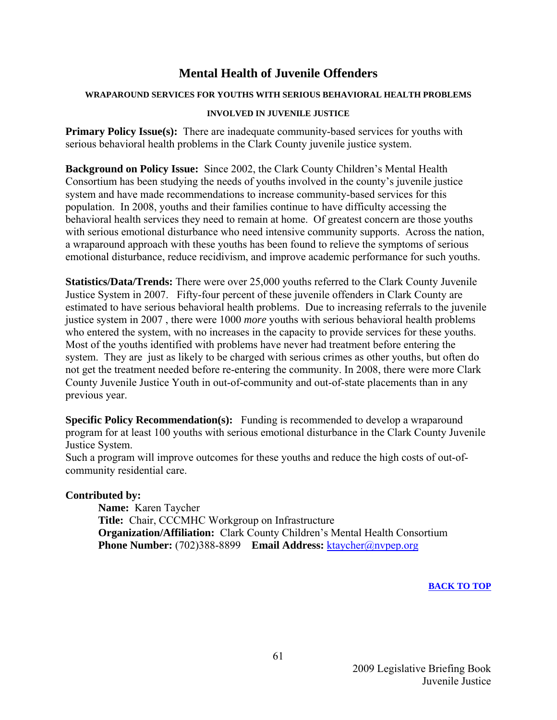#### **Mental Health of Juvenile Offenders**

#### <span id="page-62-0"></span>**WRAPAROUND SERVICES FOR YOUTHS WITH SERIOUS BEHAVIORAL HEALTH PROBLEMS**

#### **INVOLVED IN JUVENILE JUSTICE**

**Primary Policy Issue(s):** There are inadequate community-based services for youths with serious behavioral health problems in the Clark County juvenile justice system.

**Background on Policy Issue:** Since 2002, the Clark County Children's Mental Health Consortium has been studying the needs of youths involved in the county's juvenile justice system and have made recommendations to increase community-based services for this population. In 2008, youths and their families continue to have difficulty accessing the behavioral health services they need to remain at home. Of greatest concern are those youths with serious emotional disturbance who need intensive community supports. Across the nation, a wraparound approach with these youths has been found to relieve the symptoms of serious emotional disturbance, reduce recidivism, and improve academic performance for such youths.

**Statistics/Data/Trends:** There were over 25,000 youths referred to the Clark County Juvenile Justice System in 2007. Fifty-four percent of these juvenile offenders in Clark County are estimated to have serious behavioral health problems. Due to increasing referrals to the juvenile justice system in 2007 , there were 1000 *more* youths with serious behavioral health problems who entered the system, with no increases in the capacity to provide services for these youths. Most of the youths identified with problems have never had treatment before entering the system. They are just as likely to be charged with serious crimes as other youths, but often do not get the treatment needed before re-entering the community. In 2008, there were more Clark County Juvenile Justice Youth in out-of-community and out-of-state placements than in any previous year.

**Specific Policy Recommendation(s):** Funding is recommended to develop a wraparound program for at least 100 youths with serious emotional disturbance in the Clark County Juvenile Justice System.

Such a program will improve outcomes for these youths and reduce the high costs of out-ofcommunity residential care.

#### **Contributed by:**

**Name:** Karen Taycher **Title:** Chair, CCCMHC Workgroup on Infrastructure **Organization/Affiliation:** Clark County Children's Mental Health Consortium **Phone Number:** (702)388-8899 **Email Address:** [ktaycher@nvpep.org](mailto:ktaycher@nvpep.org)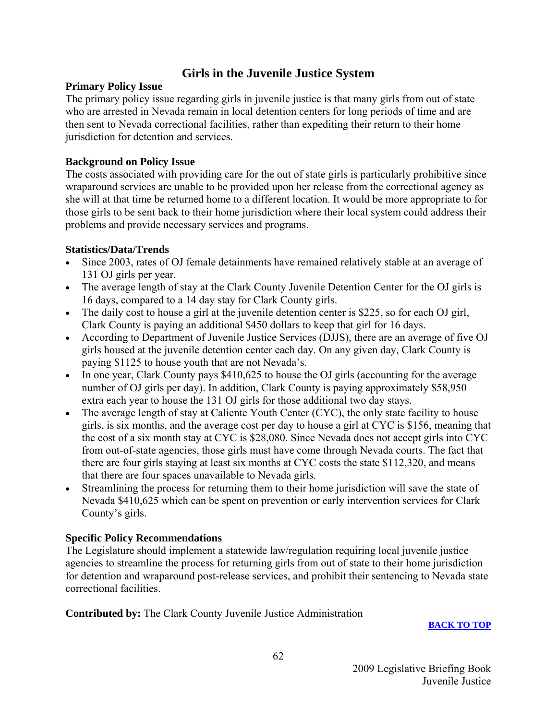#### **Girls in the Juvenile Justice System**

#### <span id="page-63-0"></span>**Primary Policy Issue**

The primary policy issue regarding girls in juvenile justice is that many girls from out of state who are arrested in Nevada remain in local detention centers for long periods of time and are then sent to Nevada correctional facilities, rather than expediting their return to their home jurisdiction for detention and services.

#### **Background on Policy Issue**

The costs associated with providing care for the out of state girls is particularly prohibitive since wraparound services are unable to be provided upon her release from the correctional agency as she will at that time be returned home to a different location. It would be more appropriate to for those girls to be sent back to their home jurisdiction where their local system could address their problems and provide necessary services and programs.

#### **Statistics/Data/Trends**

- Since 2003, rates of OJ female detainments have remained relatively stable at an average of 131 OJ girls per year.
- The average length of stay at the Clark County Juvenile Detention Center for the OJ girls is 16 days, compared to a 14 day stay for Clark County girls.
- The daily cost to house a girl at the juvenile detention center is \$225, so for each OJ girl, Clark County is paying an additional \$450 dollars to keep that girl for 16 days.
- According to Department of Juvenile Justice Services (DJJS), there are an average of five OJ girls housed at the juvenile detention center each day. On any given day, Clark County is paying \$1125 to house youth that are not Nevada's.
- In one year, Clark County pays \$410,625 to house the OJ girls (accounting for the average number of OJ girls per day). In addition, Clark County is paying approximately \$58,950 extra each year to house the 131 OJ girls for those additional two day stays.
- The average length of stay at Caliente Youth Center (CYC), the only state facility to house girls, is six months, and the average cost per day to house a girl at CYC is \$156, meaning that the cost of a six month stay at CYC is \$28,080. Since Nevada does not accept girls into CYC from out-of-state agencies, those girls must have come through Nevada courts. The fact that there are four girls staying at least six months at CYC costs the state \$112,320, and means that there are four spaces unavailable to Nevada girls.
- Streamlining the process for returning them to their home jurisdiction will save the state of Nevada \$410,625 which can be spent on prevention or early intervention services for Clark County's girls.

#### **Specific Policy Recommendations**

The Legislature should implement a statewide law/regulation requiring local juvenile justice agencies to streamline the process for returning girls from out of state to their home jurisdiction for detention and wraparound post-release services, and prohibit their sentencing to Nevada state correctional facilities.

**Contributed by:** The Clark County Juvenile Justice Administration